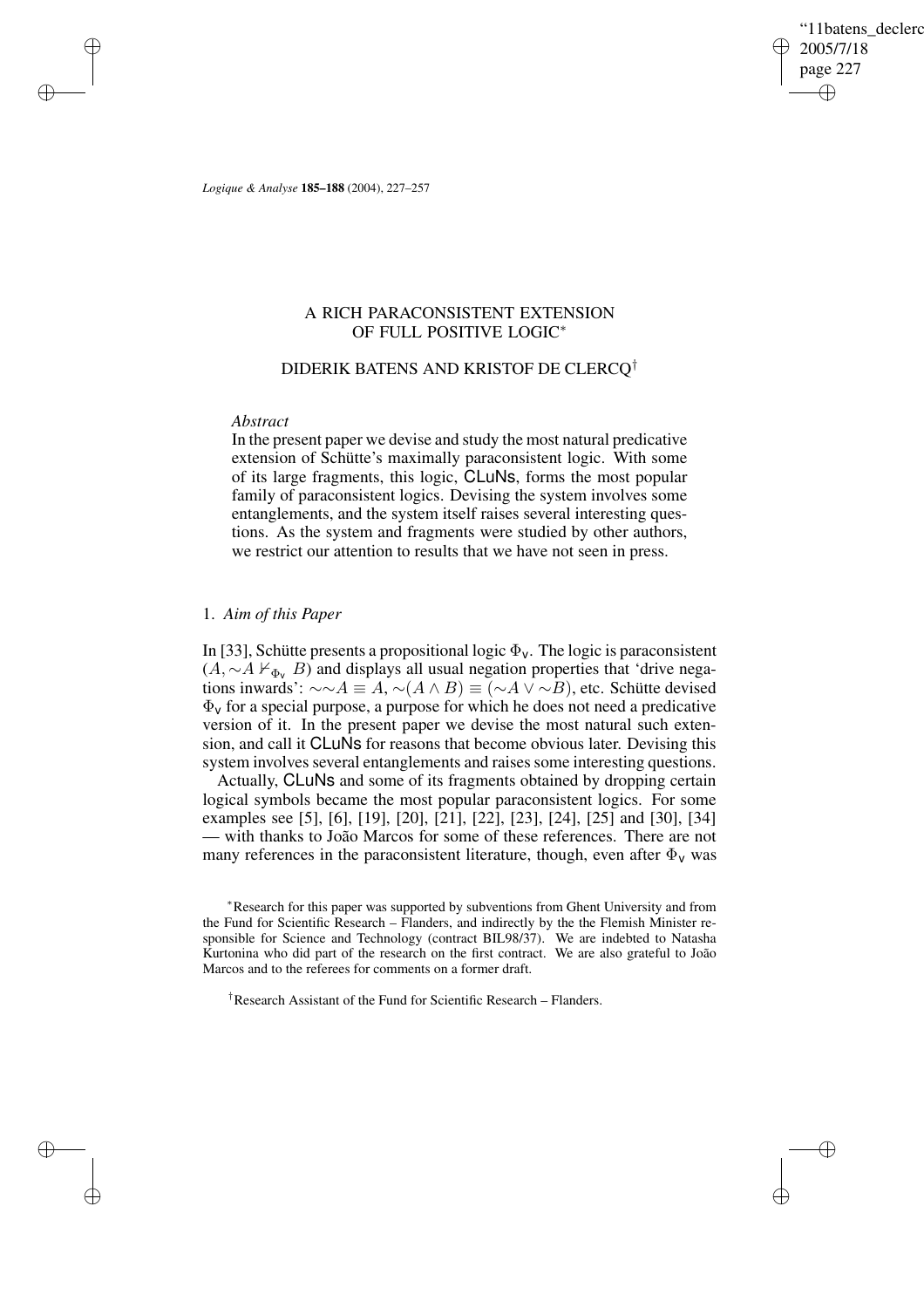'11batens\_declerc 2005/7/18 page 227 ✐ ✐

✐

✐

*Logique & Analyse* **185–188** (2004), 227–257

# A RICH PARACONSISTENT EXTENSION OF FULL POSITIVE LOGIC<sup>∗</sup>

# DIDERIK BATENS AND KRISTOF DE CLERCQ†

## *Abstract*

✐

✐

✐

✐

In the present paper we devise and study the most natural predicative extension of Schütte's maximally paraconsistent logic. With some of its large fragments, this logic, CLuNs, forms the most popular family of paraconsistent logics. Devising the system involves some entanglements, and the system itself raises several interesting questions. As the system and fragments were studied by other authors, we restrict our attention to results that we have not seen in press.

# 1. *Aim of this Paper*

In [33], Schütte presents a propositional logic  $\Phi_{v}$ . The logic is paraconsistent  $(A, \sim A \nvdash_{\Phi_v} B)$  and displays all usual negation properties that 'drive negations inwards':  $\sim \sim A \equiv A$ ,  $\sim (A \wedge B) \equiv (\sim A \vee \sim B)$ , etc. Schütte devised  $\Phi_{\nu}$  for a special purpose, a purpose for which he does not need a predicative version of it. In the present paper we devise the most natural such extension, and call it CLuNs for reasons that become obvious later. Devising this system involves several entanglements and raises some interesting questions.

Actually, CLuNs and some of its fragments obtained by dropping certain logical symbols became the most popular paraconsistent logics. For some examples see [5], [6], [19], [20], [21], [22], [23], [24], [25] and [30], [34] — with thanks to João Marcos for some of these references. There are not many references in the paraconsistent literature, though, even after  $\Phi_{v}$  was

†Research Assistant of the Fund for Scientific Research – Flanders.

<sup>∗</sup>Research for this paper was supported by subventions from Ghent University and from the Fund for Scientific Research – Flanders, and indirectly by the the Flemish Minister responsible for Science and Technology (contract BIL98/37). We are indebted to Natasha Kurtonina who did part of the research on the first contract. We are also grateful to João Marcos and to the referees for comments on a former draft.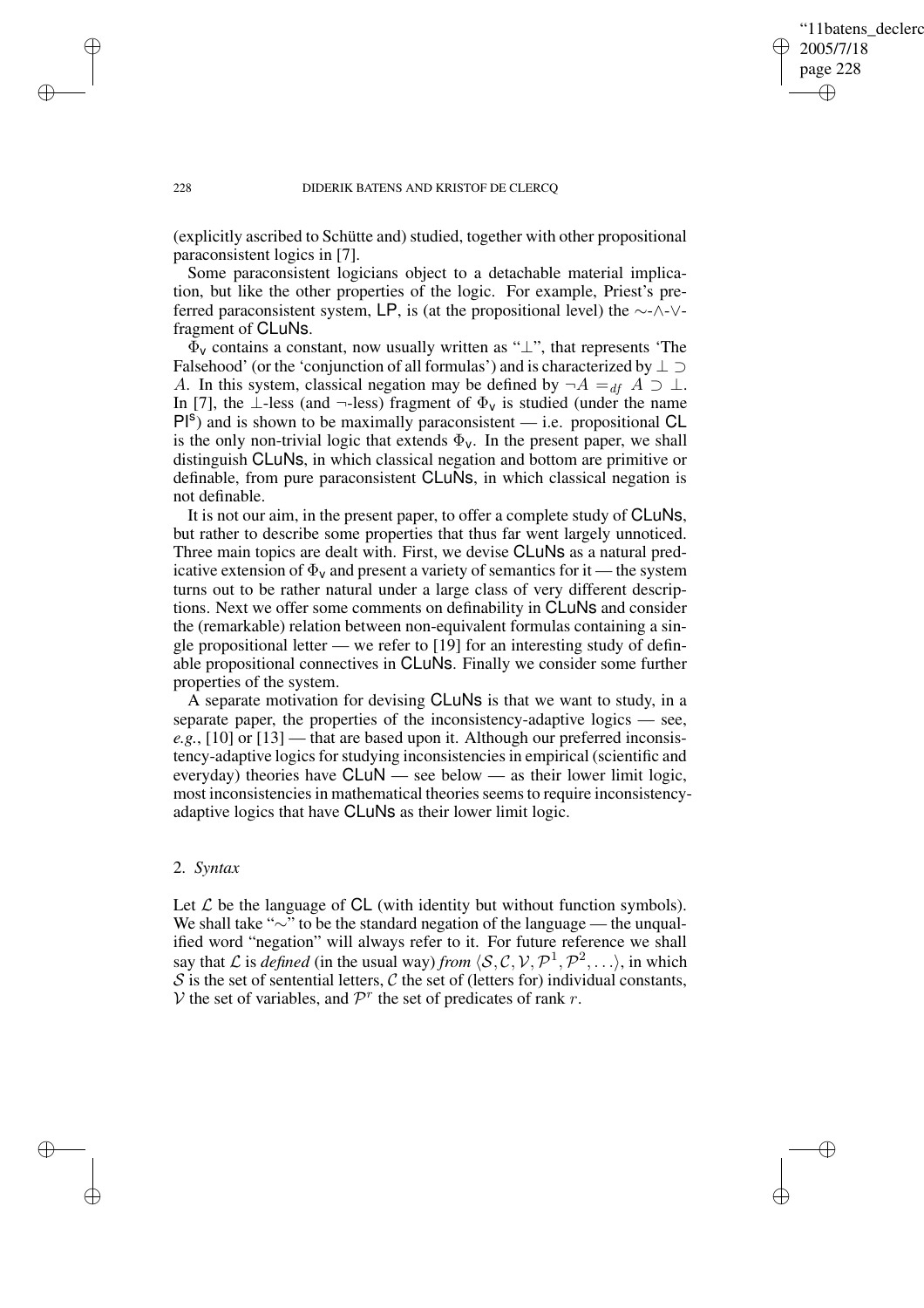✐

## 228 DIDERIK BATENS AND KRISTOF DE CLERCQ

(explicitly ascribed to Schütte and) studied, together with other propositional paraconsistent logics in [7].

Some paraconsistent logicians object to a detachable material implication, but like the other properties of the logic. For example, Priest's preferred paraconsistent system, LP, is (at the propositional level) the ∼-∧-∨ fragment of CLuNs.

 $\Phi_{\rm V}$  contains a constant, now usually written as " $\perp$ ", that represents 'The Falsehood' (or the 'conjunction of all formulas') and is characterized by ⊥ ⊃ A. In this system, classical negation may be defined by  $\neg A =_{df} A \supset \bot$ . In [7], the ⊥-less (and ¬-less) fragment of  $\Phi_{\nu}$  is studied (under the name  $PI<sup>s</sup>$ ) and is shown to be maximally paraconsistent — i.e. propositional CL is the only non-trivial logic that extends  $\Phi_{v}$ . In the present paper, we shall distinguish CLuNs, in which classical negation and bottom are primitive or definable, from pure paraconsistent CLuNs, in which classical negation is not definable.

It is not our aim, in the present paper, to offer a complete study of CLuNs, but rather to describe some properties that thus far went largely unnoticed. Three main topics are dealt with. First, we devise CLuNs as a natural predicative extension of  $\Phi_{v}$  and present a variety of semantics for it — the system turns out to be rather natural under a large class of very different descriptions. Next we offer some comments on definability in CLuNs and consider the (remarkable) relation between non-equivalent formulas containing a single propositional letter — we refer to [19] for an interesting study of definable propositional connectives in CLuNs. Finally we consider some further properties of the system.

A separate motivation for devising CLuNs is that we want to study, in a separate paper, the properties of the inconsistency-adaptive logics — see, *e.g.*, [10] or [13] — that are based upon it. Although our preferred inconsistency-adaptive logics for studying inconsistencies in empirical (scientific and everyday) theories have CLuN — see below — as their lower limit logic, most inconsistencies in mathematical theories seems to require inconsistencyadaptive logics that have CLuNs as their lower limit logic.

# 2. *Syntax*

✐

✐

Let  $\mathcal L$  be the language of CL (with identity but without function symbols). We shall take "∼" to be the standard negation of the language — the unqualified word "negation" will always refer to it. For future reference we shall say that L is *defined* (in the usual way) *from*  $\langle S, C, V, \mathcal{P}^1, \mathcal{P}^2, \ldots \rangle$ , in which  $S$  is the set of sentential letters,  $C$  the set of (letters for) individual constants, V the set of variables, and  $\mathcal{P}^r$  the set of predicates of rank r.

✐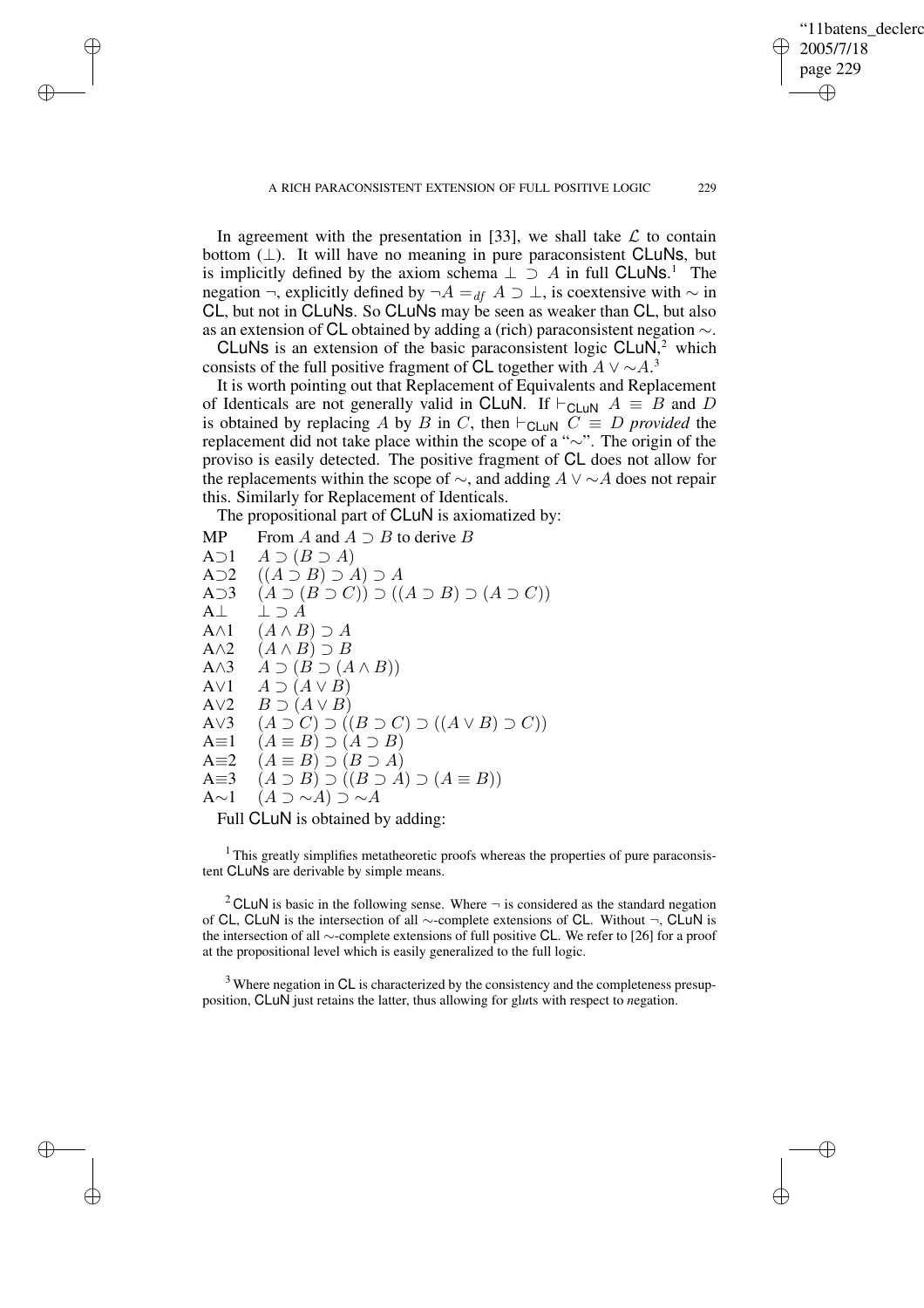✐

In agreement with the presentation in [33], we shall take  $\mathcal L$  to contain bottom  $(\perp)$ . It will have no meaning in pure paraconsistent CLuNs, but is implicitly defined by the axiom schema  $\perp \supset A$  in full CLuNs.<sup>1</sup> The negation ¬, explicitly defined by ¬ $A =_{df} A \supset \perp$ , is coextensive with  $\sim$  in CL, but not in CLuNs. So CLuNs may be seen as weaker than CL, but also as an extension of CL obtained by adding a (rich) paraconsistent negation ∼.

CLuNs is an extension of the basic paraconsistent logic CLuN, $<sup>2</sup>$  which</sup> consists of the full positive fragment of CL together with  $A \vee \sim A$ .<sup>3</sup>

It is worth pointing out that Replacement of Equivalents and Replacement of Identicals are not generally valid in CLuN. If  $\vdash_{\text{CLuN}} A \equiv B$  and D is obtained by replacing A by B in C, then  $\vdash_{\mathsf{CLuN}} C \equiv D$  *provided* the replacement did not take place within the scope of a "∼". The origin of the proviso is easily detected. The positive fragment of CL does not allow for the replacements within the scope of  $\sim$ , and adding  $A \vee \sim A$  does not repair this. Similarly for Replacement of Identicals.

The propositional part of CLuN is axiomatized by:

✐

✐

✐

✐

MP From A and  $A \supset B$  to derive B A $\supset$ 1  $A \supset$ ( $B \supset A$ ) A $\supset$ 2  $((A \supset B) \supset A) \supset A$ A $\supset$ 3  $(A \supset (B \supset C)) \supset ((A \supset B) \supset (A \supset C))$ A $\perp$   $\perp$   $\supset$  A A $\wedge$ 1  $(A \wedge B) \supset A$ A $\wedge$ 2  $(A \wedge B) \supset B$ A $\wedge$ 3  $A \supset (B \supset (A \wedge B))$ A $\vee$ 1  $A \supset (A \vee B)$ A $\vee$ 2  $B \supset (A \vee B)$ A∨3  $(A \supset C) \supset ((B \supset C) \supset ((A \vee B) \supset C))$ A $\equiv$ 1  $(A \equiv B) \supset (A \supset B)$ A $\equiv 2 \quad (A \equiv B) \supset (B \supset A)$ A $\equiv 3$   $(A \supset B) \supset (B \supset A) \supset (A \equiv B)$ A∼1  $(A \supset \sim A) \supset \sim A$ 

Full CLuN is obtained by adding:

<sup>1</sup> This greatly simplifies metatheoretic proofs whereas the properties of pure paraconsistent CLuNs are derivable by simple means.

<sup>2</sup> CLuN is basic in the following sense. Where  $\neg$  is considered as the standard negation of CL, CLuN is the intersection of all ∼-complete extensions of CL. Without ¬, CLuN is the intersection of all ∼-complete extensions of full positive CL. We refer to [26] for a proof at the propositional level which is easily generalized to the full logic.

<sup>3</sup> Where negation in CL is characterized by the consistency and the completeness presupposition, CLuN just retains the latter, thus allowing for gl*u*ts with respect to *n*egation.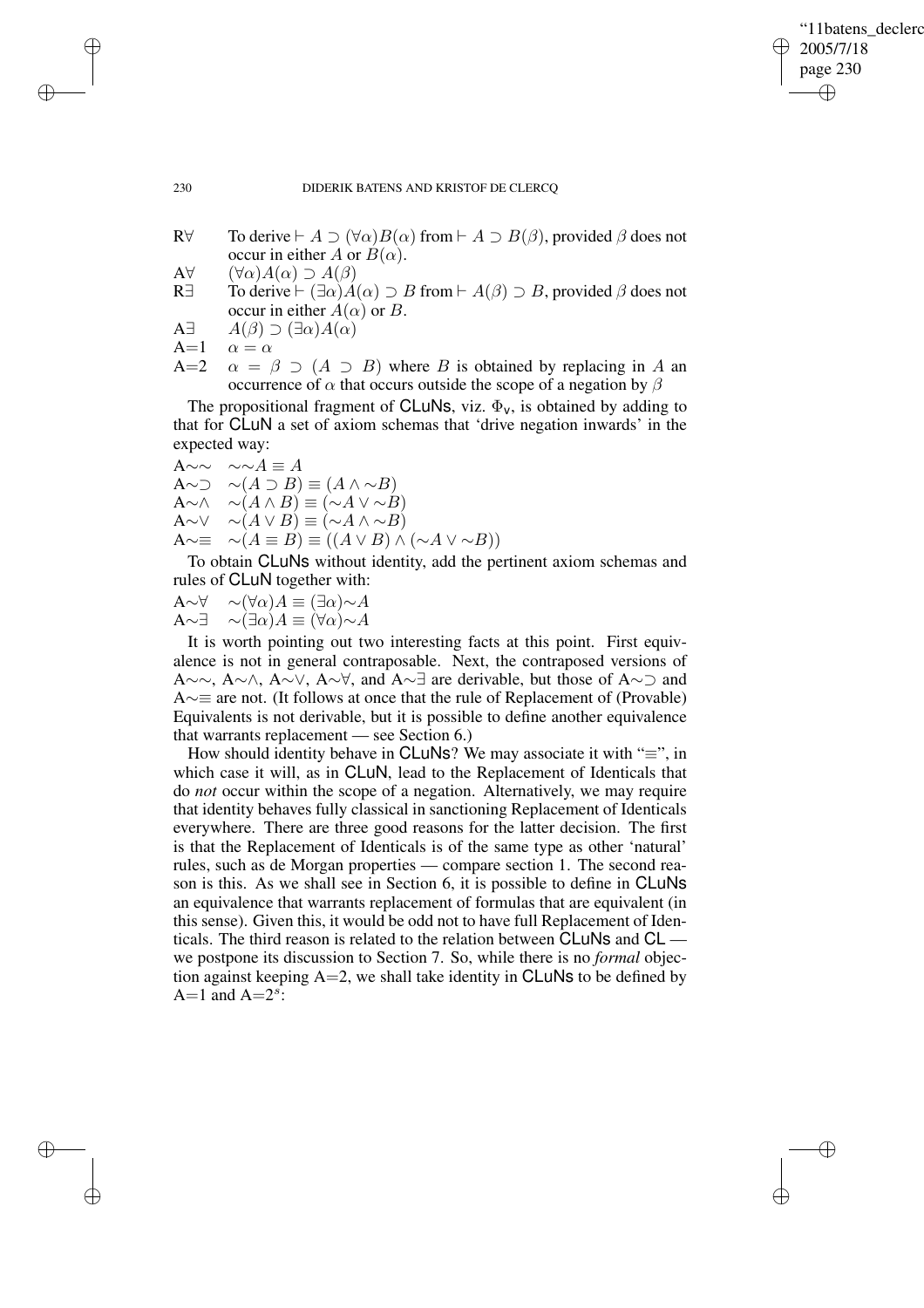✐

## 230 DIDERIK BATENS AND KRISTOF DE CLERCQ

- R $\forall$  To derive  $\vdash A \supset (\forall \alpha) B(\alpha)$  from  $\vdash A \supset B(\beta)$ , provided  $\beta$  does not occur in either A or  $B(\alpha)$ .
- A $\forall$   $(\forall \alpha)A(\alpha) \supset A(\beta)$
- R∃ To derive  $\vdash (\exists \alpha)A(\alpha) \supset B$  from  $\vdash A(\beta) \supset B$ , provided  $\beta$  does not occur in either  $A(\alpha)$  or B.
- A $\exists$   $A(\beta) \supset (\exists \alpha) A(\alpha)$
- A=1  $\alpha = \alpha$
- A=2  $\alpha = \beta \supset (A \supset B)$  where B is obtained by replacing in A an occurrence of  $\alpha$  that occurs outside the scope of a negation by  $\beta$

The propositional fragment of CLuNs, viz.  $\Phi_{v}$ , is obtained by adding to that for CLuN a set of axiom schemas that 'drive negation inwards' in the expected way:

$$
A \sim \sim \sim A \equiv A
$$

A∼ $\supset \sim(A \supset B) \equiv (A \land \sim B)$  $A \sim \wedge$  ∼ $(A \wedge B) \equiv (\sim A \vee \sim B)$  $A \sim \vee$  ∼ $(A \vee B) \equiv (\sim A \wedge \sim B)$ 

A∼≡  $\sim(A \equiv B) \equiv ((A \lor B) \land (\sim A \lor \sim B))$ 

To obtain CLuNs without identity, add the pertinent axiom schemas and rules of CLuN together with:

 $A \sim \forall \sim (\forall \alpha) A \equiv (\exists \alpha) \sim A$  $A \sim \exists \sim (\exists \alpha) A \equiv (\forall \alpha) \sim A$ 

It is worth pointing out two interesting facts at this point. First equivalence is not in general contraposable. Next, the contraposed versions of A∼∼, A∼∧, A∼∨, A∼∀, and A∼∃ are derivable, but those of A∼⊃ and A∼≡ are not. (It follows at once that the rule of Replacement of (Provable) Equivalents is not derivable, but it is possible to define another equivalence that warrants replacement — see Section 6.)

How should identity behave in CLuNs? We may associate it with " $\equiv$ ", in which case it will, as in CLuN, lead to the Replacement of Identicals that do *not* occur within the scope of a negation. Alternatively, we may require that identity behaves fully classical in sanctioning Replacement of Identicals everywhere. There are three good reasons for the latter decision. The first is that the Replacement of Identicals is of the same type as other 'natural' rules, such as de Morgan properties — compare section 1. The second reason is this. As we shall see in Section 6, it is possible to define in CLuNs an equivalence that warrants replacement of formulas that are equivalent (in this sense). Given this, it would be odd not to have full Replacement of Identicals. The third reason is related to the relation between CLuNs and CL we postpone its discussion to Section 7. So, while there is no *formal* objection against keeping  $A=2$ , we shall take identity in CLuNs to be defined by A=1 and  $A=2^s$ :

✐

✐

✐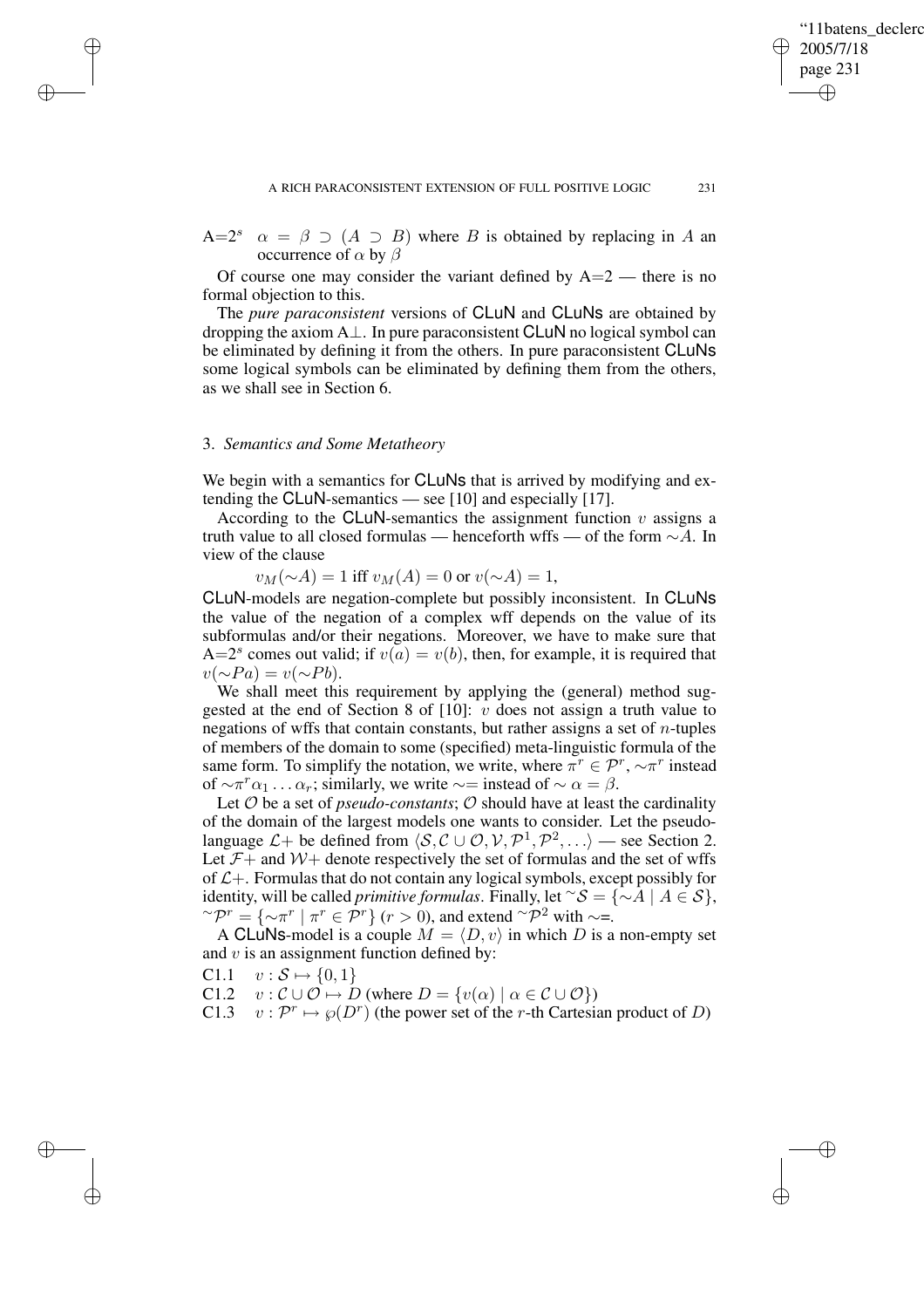✐

 $A=2^s$  $\alpha = \beta \supset (A \supset B)$  where B is obtained by replacing in A an occurrence of  $\alpha$  by  $\beta$ 

Of course one may consider the variant defined by  $A=2$  — there is no formal objection to this.

The *pure paraconsistent* versions of CLuN and CLuNs are obtained by dropping the axiom A⊥. In pure paraconsistent CLuN no logical symbol can be eliminated by defining it from the others. In pure paraconsistent CLuNs some logical symbols can be eliminated by defining them from the others, as we shall see in Section 6.

# 3. *Semantics and Some Metatheory*

✐

✐

✐

✐

We begin with a semantics for **CLuNs** that is arrived by modifying and extending the CLuN-semantics — see [10] and especially [17].

According to the CLuN-semantics the assignment function  $v$  assigns a truth value to all closed formulas — henceforth wffs — of the form ∼A. In view of the clause

 $v_M(\sim A) = 1$  iff  $v_M(A) = 0$  or  $v(\sim A) = 1$ ,

CLuN-models are negation-complete but possibly inconsistent. In CLuNs the value of the negation of a complex wff depends on the value of its subformulas and/or their negations. Moreover, we have to make sure that A=2<sup>*s*</sup> comes out valid; if  $v(a) = v(b)$ , then, for example, it is required that  $v(\sim Pa) = v(\sim Pb).$ 

We shall meet this requirement by applying the (general) method suggested at the end of Section 8 of [10]:  $v$  does not assign a truth value to negations of wffs that contain constants, but rather assigns a set of  $n$ -tuples of members of the domain to some (specified) meta-linguistic formula of the same form. To simplify the notation, we write, where  $\pi^r \in \mathcal{P}^r$ ,  $\sim \pi^r$  instead of  $\sim \pi^r \alpha_1 \dots \alpha_r$ ; similarly, we write  $\sim$  = instead of  $\sim \alpha = \beta$ .

Let  $O$  be a set of *pseudo-constants*;  $O$  should have at least the cardinality of the domain of the largest models one wants to consider. Let the pseudolanguage  $\mathcal{L}$  + be defined from  $\langle \mathcal{S}, \mathcal{C} \cup \mathcal{O}, \mathcal{V}, \mathcal{P}^1, \mathcal{P}^2, \ldots \rangle$  — see Section 2. Let  $\mathcal{F}$  + and  $\mathcal{W}$  + denote respectively the set of formulas and the set of wffs of  $L+$ . Formulas that do not contain any logical symbols, except possibly for identity, will be called *primitive formulas*. Finally, let  $\alpha S = \{\alpha A \mid A \in S\},\$  $\sim \mathcal{P}^r = \{ \sim \pi^r \mid \pi^r \in \mathcal{P}^r \}$  ( $r > 0$ ), and extend  $\sim \mathcal{P}^2$  with  $\sim =$ .

A CLuNs-model is a couple  $M = \langle D, v \rangle$  in which D is a non-empty set and  $v$  is an assignment function defined by:

C1.1  $v : S \mapsto \{0, 1\}$ 

C1.2  $v : \mathcal{C} \cup \mathcal{O} \mapsto D$  (where  $D = \{v(\alpha) \mid \alpha \in \mathcal{C} \cup \mathcal{O}\}\$ )

C1.3  $v: \mathcal{P}^r \mapsto \wp(D^r)$  (the power set of the r-th Cartesian product of D)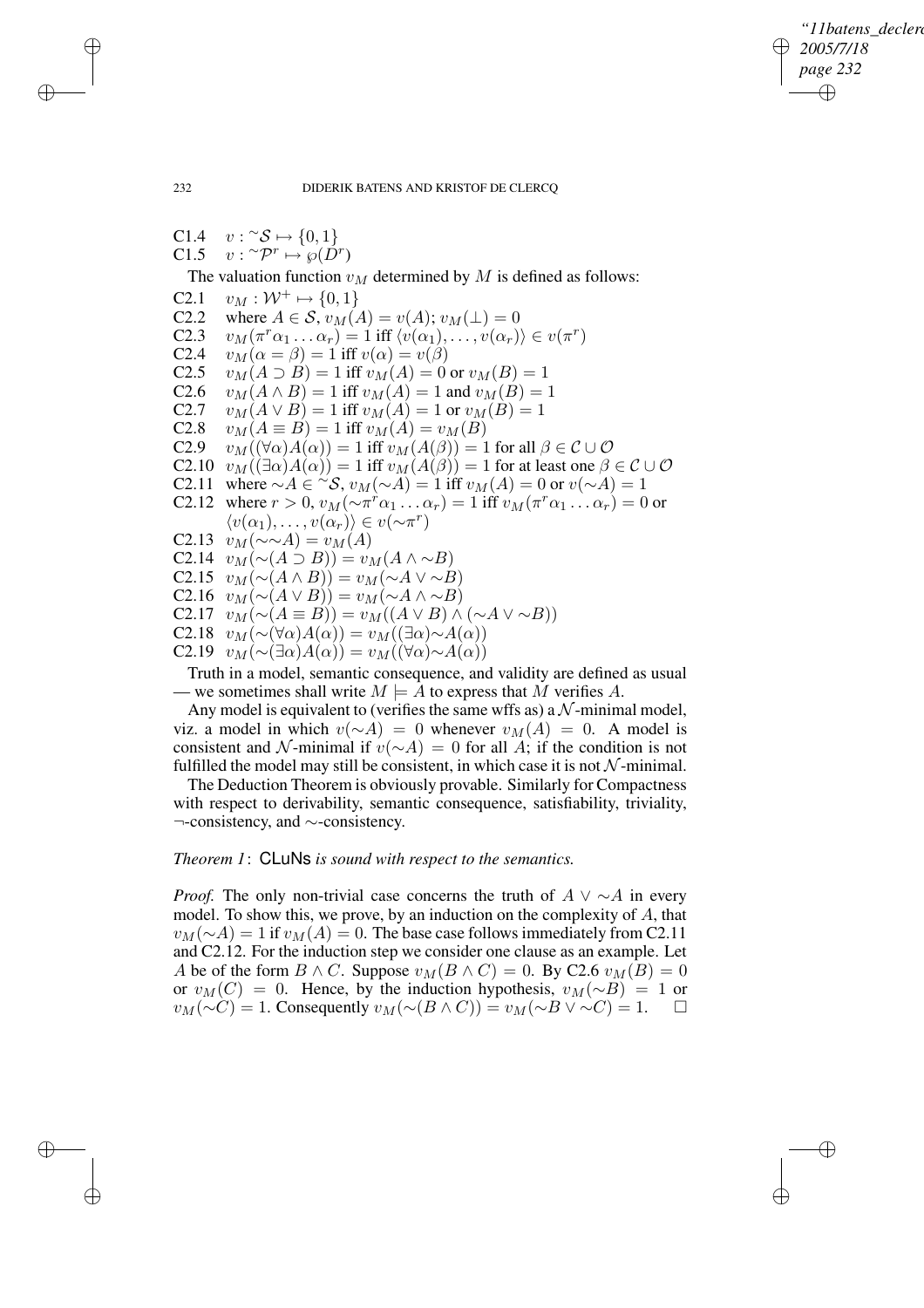✐

## 232 DIDERIK BATENS AND KRISTOF DE CLERCQ

 $C1.4$  $v: \ulcorner \mathcal{S} \mapsto \{0, 1\}$  $C1.5$  ${}^\sim \mathcal{P}^r \mapsto \wp(\check{D}^r)$ The valuation function  $v_M$  determined by M is defined as follows: C2.1  $v_M : \mathcal{W}^+ \mapsto \{0, 1\}$ C2.2 where  $A \in S$ ,  $v_M(A) = v(A); v_M(\perp) = 0$ <br>C2.3  $v_M(\pi^r \alpha_1 \dots \alpha_r) = 1$  iff  $\langle v(\alpha_1), \dots, v(\alpha_r) \rangle$ C2.3  $v_M(\pi^r\alpha_1 \dots \alpha_r) = 1$  iff  $\langle v(\alpha_1), \dots, v(\alpha_r) \rangle \in v(\pi^r)$ C2.4  $v_M(\alpha = \beta) = 1$  iff  $v(\alpha) = v(\beta)$ <br>C2.5  $v_M(A \supset B) = 1$  iff  $v_M(A) = 0$  $v_M(A \supset B) = 1$  iff  $v_M(A) = 0$  or  $v_M(B) = 1$ C2.6  $v_M(A \wedge B) = 1$  iff  $v_M(A) = 1$  and  $v_M(B) = 1$ C2.7  $v_M(A \vee B) = 1$  iff  $v_M(A) = 1$  or  $v_M(B) = 1$ C2.8  $v_M(A \equiv B) = 1$  iff  $v_M(A) = v_M(B)$ C2.9  $v_M((\forall \alpha)A(\alpha)) = 1$  iff  $v_M(A(\beta)) = 1$  for all  $\beta \in \mathcal{C} \cup \mathcal{O}$ C2.10  $v_M((\exists \alpha)A(\alpha)) = 1$  iff  $v_M(A(\beta)) = 1$  for at least one  $\beta \in \mathcal{C} \cup \mathcal{O}$ C2.11 where  $\sim A \in {}^{\sim} \mathcal{S}, v_M(\sim A) = 1$  iff  $v_M(A) = 0$  or  $v(\sim A) = 1$ C2.12 where  $r > 0$ ,  $v_M(\sim \pi^r \alpha_1 \dots \alpha_r) = 1$  iff  $v_M(\pi^r \alpha_1 \dots \alpha_r) = 0$  or  $\langle v(\alpha_1), \ldots, v(\alpha_r) \rangle \in v(\sim \pi^r)$ C2.13  $v_M(\sim \sim A) = v_M(A)$ C2.14  $v_M(\sim(A \supset B)) = v_M(A \wedge \sim B)$ C2.15  $v_M(\sim(A \wedge B)) = v_M(\sim A \vee \sim B)$ C2.16  $v_M(\sim(A \vee B)) = v_M(\sim A \wedge \sim B)$ C2.17  $v_M(\sim(A \equiv B)) = v_M((A \lor B) \land (\sim A \lor \sim B))$ C2.18  $v_M(\sim(\forall \alpha)A(\alpha)) = v_M((\exists \alpha) \sim A(\alpha))$ C2.19  $v_M(\sim(\exists\alpha)A(\alpha))=v_M(\forall\alpha)\sim A(\alpha)$ 

Truth in a model, semantic consequence, and validity are defined as usual — we sometimes shall write  $M \models A$  to express that M verifies A.

Any model is equivalent to (verifies the same wffs as) a  $N$ -minimal model, viz. a model in which  $v(\sim A) = 0$  whenever  $v_M(A) = 0$ . A model is consistent and N-minimal if  $v(∼A) = 0$  for all A; if the condition is not fulfilled the model may still be consistent, in which case it is not  $\mathcal N$ -minimal.

The Deduction Theorem is obviously provable. Similarly for Compactness with respect to derivability, semantic consequence, satisfiability, triviality, ¬-consistency, and ∼-consistency.

# *Theorem 1*: CLuNs *is sound with respect to the semantics.*

*Proof.* The only non-trivial case concerns the truth of  $A \vee \neg A$  in every model. To show this, we prove, by an induction on the complexity of A, that  $v_M(\sim A) = 1$  if  $v_M(A) = 0$ . The base case follows immediately from C2.11 and C2.12. For the induction step we consider one clause as an example. Let A be of the form  $B \wedge C$ . Suppose  $v_M(B \wedge C) = 0$ . By C2.6  $v_M(B) = 0$ or  $v_M(C) = 0$ . Hence, by the induction hypothesis,  $v_M(\sim B) = 1$  or  $v_M(\sim C) = 1$ . Consequently  $v_M(\sim(B \wedge C)) = v_M(\sim B \vee \sim C) = 1$ .

✐

✐

✐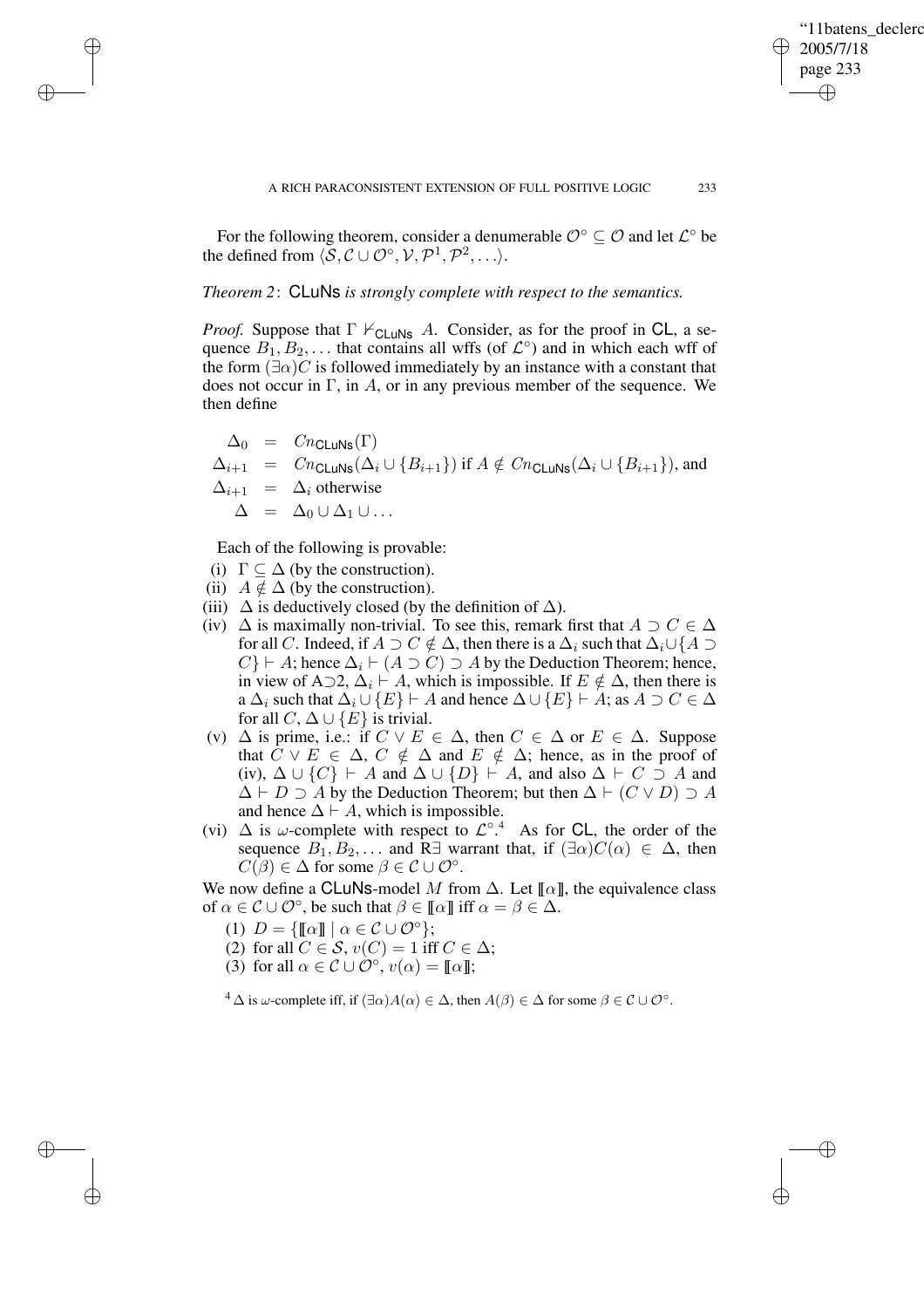✐

For the following theorem, consider a denumerable  $\mathcal{O}^{\circ} \subseteq \mathcal{O}$  and let  $\mathcal{L}^{\circ}$  be the defined from  $\langle \mathcal{S}, \mathcal{C} \cup \mathcal{O}^{\circ}, \mathcal{V}, \mathcal{P}^1, \mathcal{P}^2, \ldots \rangle$ .

# *Theorem 2*: CLuNs *is strongly complete with respect to the semantics.*

*Proof.* Suppose that  $\Gamma \nvdash_{\text{CLuNs}} A$ . Consider, as for the proof in CL, a sequence  $\overline{B_1}, \overline{B_2}, \ldots$  that contains all wffs (of  $\mathcal{L}^{\circ}$ ) and in which each wff of the form  $(\exists \alpha) C$  is followed immediately by an instance with a constant that does not occur in  $\Gamma$ , in A, or in any previous member of the sequence. We then define

$$
\begin{array}{rcl}\n\Delta_0 & = & Cn_{\text{CLuNs}}(\Gamma) \\
\Delta_{i+1} & = & Cn_{\text{CLuNs}}(\Delta_i \cup \{B_{i+1}\}) \text{ if } A \notin \text{C}n_{\text{CLuNs}}(\Delta_i \cup \{B_{i+1}\}), \text{ and} \\
\Delta_{i+1} & = & \Delta_i \text{ otherwise} \\
\Delta & = & \Delta_0 \cup \Delta_1 \cup \dots\n\end{array}
$$

Each of the following is provable:

(i)  $\Gamma \subset \Delta$  (by the construction).

✐

✐

✐

✐

- (ii)  $A \notin \Delta$  (by the construction).
- (iii)  $\Delta$  is deductively closed (by the definition of  $\Delta$ ).
- (iv)  $\Delta$  is maximally non-trivial. To see this, remark first that  $A \supset C \in \Delta$ for all C. Indeed, if  $A \supset C \notin \Delta$ , then there is a  $\Delta_i$  such that  $\Delta_i \cup \{A \supset C\}$  $C$ }  $\vdash A$ ; hence  $\Delta_i \vdash (A \supset C) \supset A$  by the Deduction Theorem; hence, in view of A⊃2,  $\Delta_i$   $\vdash$  A, which is impossible. If  $E \notin \Delta$ , then there is a  $\Delta_i$  such that  $\Delta_i \cup \{E\} \vdash A$  and hence  $\Delta \cup \{E\} \vdash A$ ; as  $A \supset C \in \Delta$ for all  $C, \Delta \cup \{E\}$  is trivial.
- (v)  $\Delta$  is prime, i.e.: if  $C \vee E \in \Delta$ , then  $C \in \Delta$  or  $E \in \Delta$ . Suppose that  $\hat{C} \vee E \in \Delta$ ,  $C \notin \Delta$  and  $E \notin \Delta$ ; hence, as in the proof of (iv),  $\Delta \cup \{C\} \vdash A$  and  $\Delta \cup \{D\} \vdash A$ , and also  $\Delta \vdash C \supseteq A$  and  $\Delta \vdash D \supseteq A$  by the Deduction Theorem; but then  $\Delta \vdash (C \lor D) \supseteq A$ and hence  $\Delta \vdash A$ , which is impossible.
- (vi)  $\Delta$  is  $\omega$ -complete with respect to  $\mathcal{L}^{\circ}$ .<sup>4</sup> As for CL, the order of the sequence  $B_1, B_2, \ldots$  and R∃ warrant that, if  $(\exists \alpha) C(\alpha) \in \Delta$ , then  $C(\beta) \in \Delta$  for some  $\beta \in \mathcal{C} \cup \mathcal{O}^{\circ}$ .

We now define a CLuNs-model M from  $\Delta$ . Let  $\llbracket \alpha \rrbracket$ , the equivalence class of  $\alpha \in \mathcal{C} \cup \mathcal{O}^{\circ}$ , be such that  $\beta \in [\![\alpha]\!]$  iff  $\alpha = \beta \in \Delta$ .

- (1)  $D = \{\llbracket \alpha \rrbracket \mid \alpha \in \mathcal{C} \cup \mathcal{O}^{\circ}\};$
- (2) for all  $C \in \mathcal{S}$ ,  $v(C) = 1$  iff  $C \in \Delta$ ;
- (3) for all  $\alpha \in \mathcal{C} \cup \mathcal{O}^{\circ}$ ,  $v(\alpha) = [\![\alpha]\!]$ ;

 $4 \Delta$  is  $\omega$ -complete iff, if  $(\exists \alpha) A(\alpha) \in \Delta$ , then  $A(\beta) \in \Delta$  for some  $\beta \in \mathcal{C} \cup \mathcal{O}^{\circ}$ .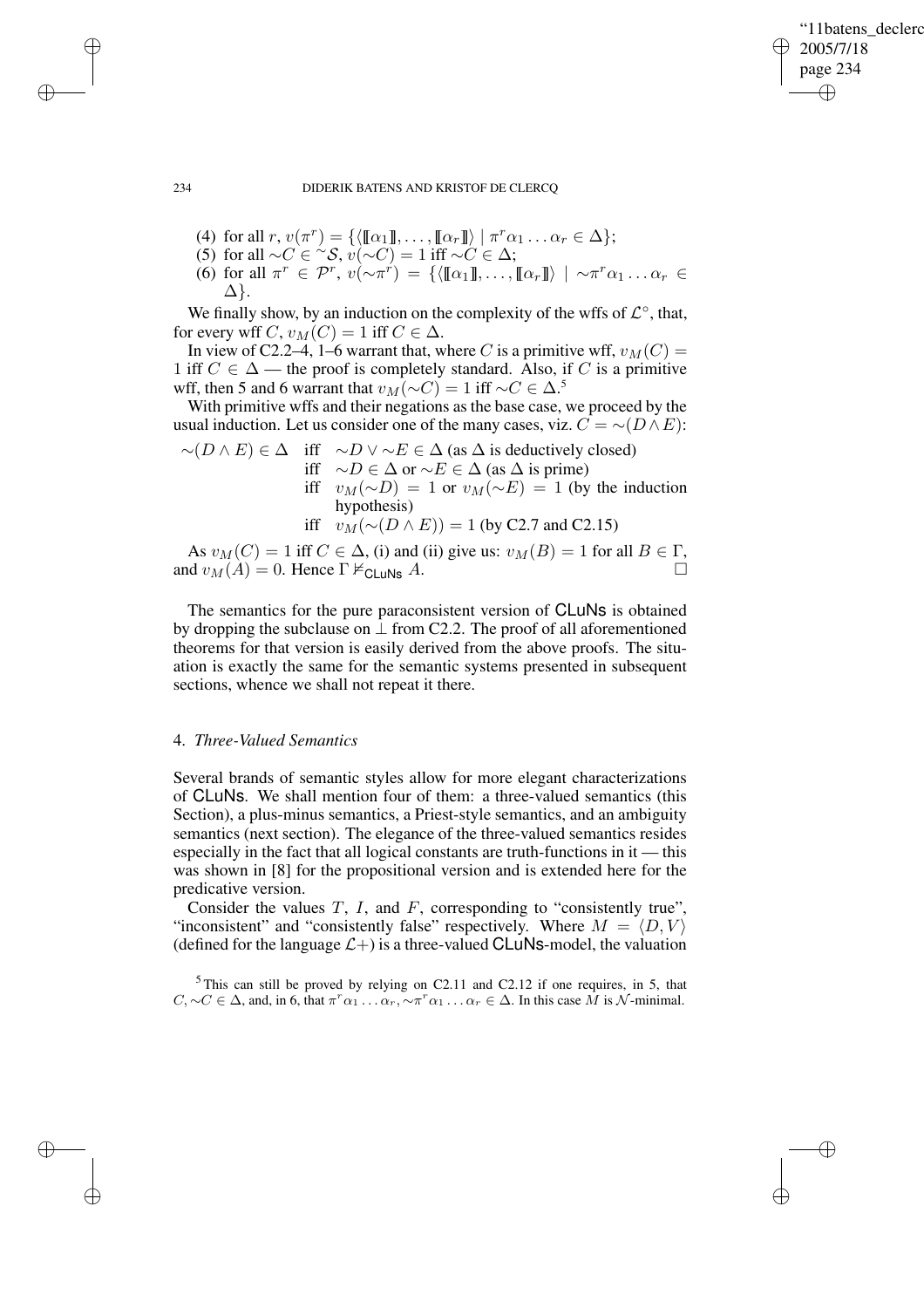✐

## 234 DIDERIK BATENS AND KRISTOF DE CLERCQ

- (4) for all  $r, v(\pi^r) = \{ \langle [\![\alpha_1]\!] , \ldots, [\![\alpha_r]\!] \rangle \mid \pi^r \alpha_1 \ldots \alpha_r \in \Delta \};$
- (5) for all  $\sim C \in \sim \infty$ ,  $v(\sim C) = 1$  iff  $\sim C \in \Delta$ ;
- (6) for all  $\pi^r \in \mathcal{P}^r$ ,  $v(\sim \pi^r) = \{ \langle [\![\alpha_1]\!], \ldots, [\![\alpha_r]\!] \rangle \mid \sim \pi^r \alpha_1 \ldots \alpha_r \in \mathcal{P}^r$ ∆}.

We finally show, by an induction on the complexity of the wffs of  $\mathcal{L}^{\circ}$ , that, for every wff C,  $v_M(C) = 1$  iff  $C \in \Delta$ .

In view of C2.2–4, 1–6 warrant that, where C is a primitive wff,  $v_M(C)$  = 1 iff  $C \in \Delta$  — the proof is completely standard. Also, if C is a primitive wff, then 5 and 6 warrant that  $v_M(\sim C) = 1$  iff  $\sim C \in \Delta$ .<sup>5</sup>

With primitive wffs and their negations as the base case, we proceed by the usual induction. Let us consider one of the many cases, viz.  $C = \sim (D \wedge E)$ :

 $∼(D \wedge E) \in \Delta$  iff  $~\sim D \vee \sim E \in \Delta$  (as  $\Delta$  is deductively closed) iff ∼D ∈ ∆ or ∼E ∈ ∆ (as ∆ is prime) iff  $v_M(\sim D) = 1$  or  $v_M(\sim E) = 1$  (by the induction hypothesis) iff  $v_M(\sim(D \wedge E)) = 1$  (by C2.7 and C2.15)

As  $v_M(C) = 1$  iff  $C \in \Delta$ , (i) and (ii) give us:  $v_M(B) = 1$  for all  $B \in \Gamma$ , and  $v_M(A) = 0$ . Hence  $\Gamma \nvDash_{\text{CLuNs}} A$ .

The semantics for the pure paraconsistent version of CLuNs is obtained by dropping the subclause on  $\perp$  from C2.2. The proof of all aforementioned theorems for that version is easily derived from the above proofs. The situation is exactly the same for the semantic systems presented in subsequent sections, whence we shall not repeat it there.

# 4. *Three-Valued Semantics*

Several brands of semantic styles allow for more elegant characterizations of CLuNs. We shall mention four of them: a three-valued semantics (this Section), a plus-minus semantics, a Priest-style semantics, and an ambiguity semantics (next section). The elegance of the three-valued semantics resides especially in the fact that all logical constants are truth-functions in it — this was shown in [8] for the propositional version and is extended here for the predicative version.

Consider the values  $T$ ,  $I$ , and  $F$ , corresponding to "consistently true", "inconsistent" and "consistently false" respectively. Where  $M = \langle D, V \rangle$ (defined for the language  $\mathcal{L}$ +) is a three-valued CLuNs-model, the valuation

 $5$ This can still be proved by relying on C2.11 and C2.12 if one requires, in 5, that  $C, \sim C \in \Delta$ , and, in 6, that  $\pi^r \alpha_1 \dots \alpha_r, \sim \pi^r \alpha_1 \dots \alpha_r \in \Delta$ . In this case M is N-minimal.

✐

✐

✐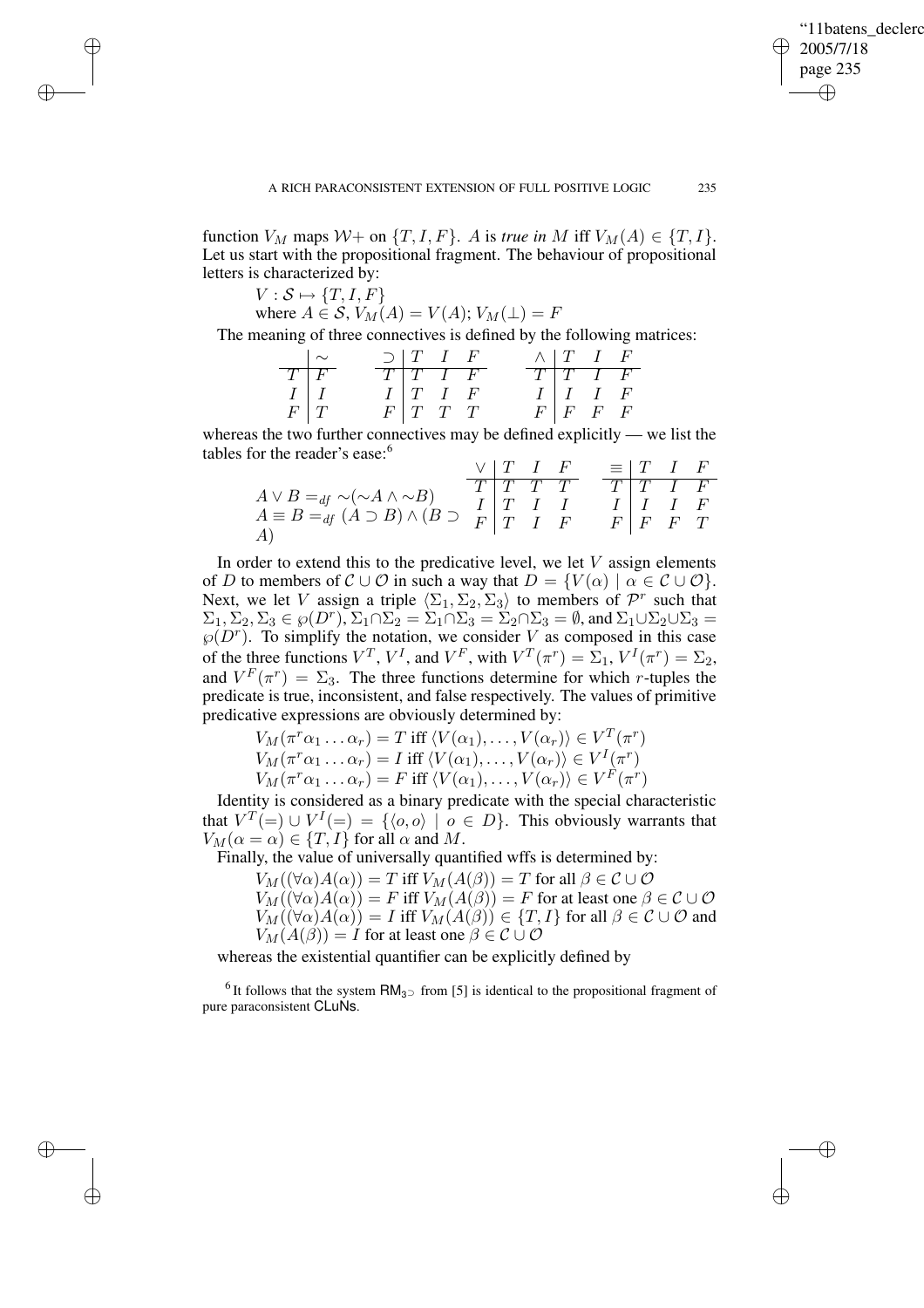✐

function  $V_M$  maps  $W_+$  on  $\{T, I, F\}$ . A is *true in* M iff  $V_M(A) \in \{T, I\}$ . Let us start with the propositional fragment. The behaviour of propositional letters is characterized by:

 $V : \mathcal{S} \mapsto \{T, I, F\}$ 

✐

✐

✐

✐

where  $A \in \mathcal{S}$ ,  $V_M(A) = V(A)$ ;  $V_M(\perp) = F$ 

The meaning of three connectives is defined by the following matrices:

|                                                            | $\sim$ | $\supset$   T I F        |                          | $\wedge$ T I F           |                          |
|------------------------------------------------------------|--------|--------------------------|--------------------------|--------------------------|--------------------------|
|                                                            |        |                          | $T   T   I \overline{F}$ |                          | $T \mid T \mid T \mid F$ |
|                                                            |        | $I \mid T \mid I \mid F$ |                          | $I \mid I \mid I \mid F$ |                          |
| $\begin{array}{c c}\nT & F \\ I & I \\ F & T\n\end{array}$ |        | F T T                    |                          | $F \mid F \mid F \mid F$ |                          |

whereas the two further connectives may be defined explicitly — we list the tables for the reader's ease:<sup>6</sup>

|                                                                                                                                                                                     | V[T I F] |                                                                                                                                                                                                                             |                       | $\equiv$ $\begin{bmatrix} T & I & F \end{bmatrix}$ |  |
|-------------------------------------------------------------------------------------------------------------------------------------------------------------------------------------|----------|-----------------------------------------------------------------------------------------------------------------------------------------------------------------------------------------------------------------------------|-----------------------|----------------------------------------------------|--|
|                                                                                                                                                                                     |          | $T$   $T$   $T$   $T$   $T$   $T$   $T$   $T$   $T$   $T$   $T$   $T$   $T$   $T$   $T$   $T$   $T$   $T$   $T$   $T$   $T$   $T$   $T$   $T$   $T$   $T$   $T$   $T$   $T$   $T$   $T$   $T$   $T$   $T$   $T$   $T$   $T$ | $T$   $T$   $T$   $F$ |                                                    |  |
| $A \vee B =_{df} \sim (\sim A \wedge \sim B)$<br>$A \equiv B =_{df} (A \supset B) \wedge (B \supset \begin{array}{c} 1 \ T \ T \end{array}$<br>$\begin{array}{c} 1 \ T \end{array}$ |          |                                                                                                                                                                                                                             |                       | $I \mid I \mid I \mid F$                           |  |
|                                                                                                                                                                                     |          |                                                                                                                                                                                                                             |                       | $F \mid F \mid F \mid T$                           |  |
| A)                                                                                                                                                                                  |          |                                                                                                                                                                                                                             |                       |                                                    |  |

In order to extend this to the predicative level, we let  $V$  assign elements of D to members of  $\mathcal{C} \cup \mathcal{O}$  in such a way that  $D = \{V(\alpha) \mid \alpha \in \mathcal{C} \cup \mathcal{O}\}\.$ Next, we let V assign a triple  $\langle \Sigma_1, \Sigma_2, \Sigma_3 \rangle$  to members of  $\mathcal{P}^r$  such that  $\Sigma_1, \Sigma_2, \Sigma_3 \in \wp(D^r), \Sigma_1 \cap \Sigma_2 = \Sigma_1 \cap \Sigma_3 = \Sigma_2 \cap \Sigma_3 = \emptyset$ , and  $\Sigma_1 \cup \Sigma_2 \cup \Sigma_3 = \emptyset$  $\wp(D^r)$ . To simplify the notation, we consider V as composed in this case of the three functions  $V^T$ ,  $V^I$ , and  $V^F$ , with  $V^T(\pi^r) = \Sigma_1$ ,  $V^I(\pi^r) = \Sigma_2$ , and  $V^F(\pi^r) = \Sigma_3$ . The three functions determine for which *r*-tuples the predicate is true, inconsistent, and false respectively. The values of primitive predicative expressions are obviously determined by:

> $V_M(\pi^r\alpha_1 \dots \alpha_r) = T \text{ iff } \langle V(\alpha_1), \dots, V(\alpha_r) \rangle \in V^T(\pi^r)$  $V_M(\pi^r\alpha_1 \dots \alpha_r) = I \text{ iff } \langle V(\alpha_1), \dots, V(\alpha_r) \rangle \in V^I(\pi^r)$  $V_M(\pi^r\alpha_1 \dots \alpha_r) = F$  iff  $\langle V(\alpha_1), \dots, V(\alpha_r) \rangle \in V^F(\pi^r)$

Identity is considered as a binary predicate with the special characteristic that  $V^T(=) \cup V^I(=) = \{ \langle o, o \rangle \mid o \in D \}.$  This obviously warrants that  $V_M(\alpha = \alpha) \in \{T, I\}$  for all  $\alpha$  and M.

Finally, the value of universally quantified wffs is determined by:

 $V_M((\forall \alpha)A(\alpha)) = T$  iff  $V_M(A(\beta)) = T$  for all  $\beta \in \mathcal{C} \cup \mathcal{O}$  $V_M((\forall \alpha)A(\alpha)) = F$  iff  $V_M(A(\beta)) = F$  for at least one  $\beta \in \mathcal{C} \cup \mathcal{O}$ 

 $V_M(\forall \alpha)A(\alpha) = I$  iff  $V_M(A(\beta)) \in \{T, I\}$  for all  $\beta \in \mathcal{C} \cup \mathcal{O}$  and  $V_M(A(\beta)) = I$  for at least one  $\beta \in \mathcal{C} \cup \mathcal{O}$ 

whereas the existential quantifier can be explicitly defined by

<sup>6</sup>It follows that the system  $RM_{3}$  from [5] is identical to the propositional fragment of pure paraconsistent CLuNs.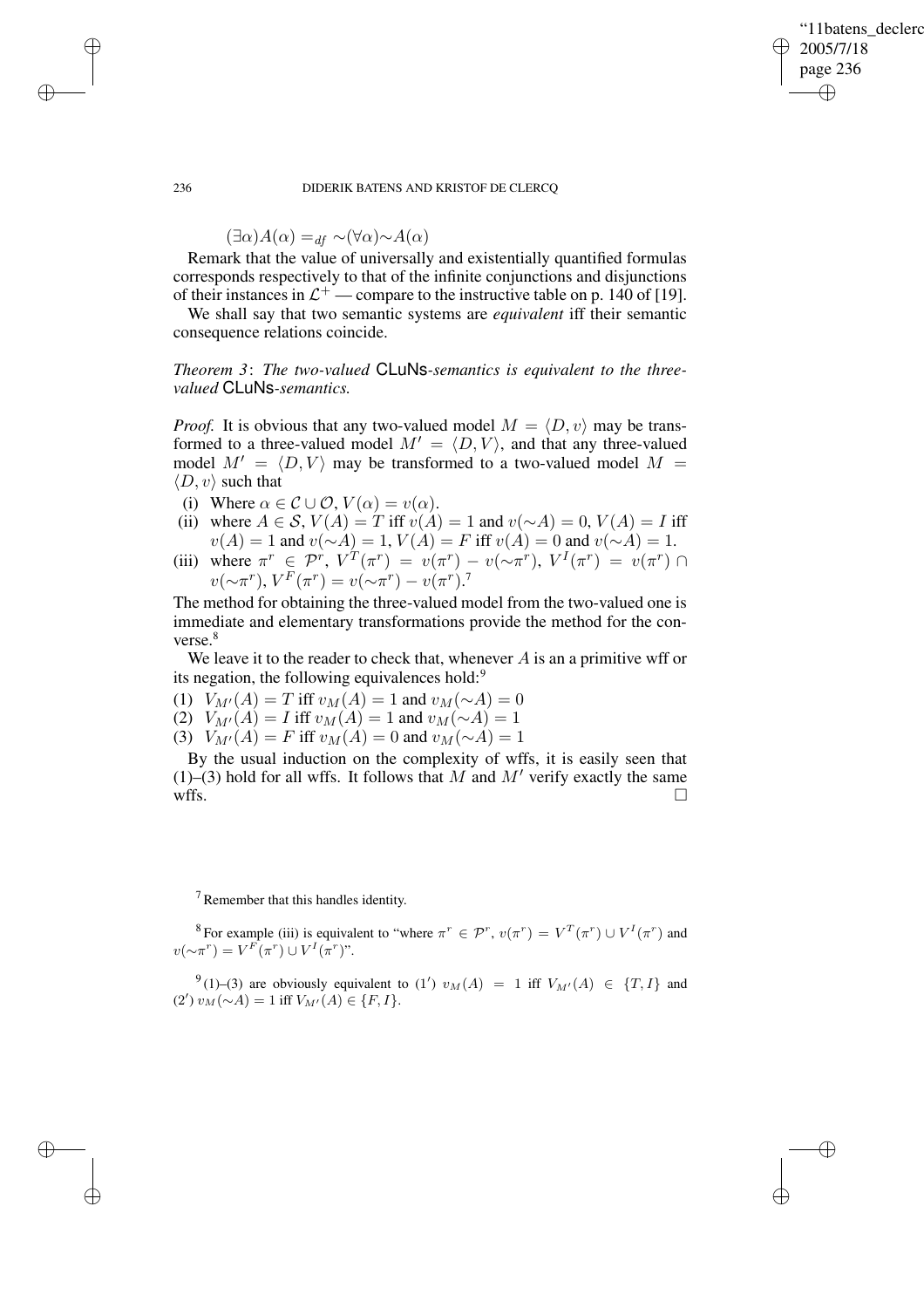✐

## 236 DIDERIK BATENS AND KRISTOF DE CLERCQ

$$
(\exists \alpha) A(\alpha) =_{df} \sim (\forall \alpha) \sim A(\alpha)
$$

Remark that the value of universally and existentially quantified formulas corresponds respectively to that of the infinite conjunctions and disjunctions of their instances in  $\mathcal{L}^+$  — compare to the instructive table on p. 140 of [19].

We shall say that two semantic systems are *equivalent* iff their semantic consequence relations coincide.

*Theorem 3*: *The two-valued* CLuNs*-semantics is equivalent to the threevalued* CLuNs*-semantics.*

*Proof.* It is obvious that any two-valued model  $M = \langle D, v \rangle$  may be transformed to a three-valued model  $M' = \langle D, V \rangle$ , and that any three-valued model  $M' = \langle D, V \rangle$  may be transformed to a two-valued model  $M =$  $\langle D, v \rangle$  such that

- (i) Where  $\alpha \in \mathcal{C} \cup \mathcal{O}, V(\alpha) = v(\alpha)$ .
- (ii) where  $A \in S$ ,  $V(A) = T$  iff  $v(A) = 1$  and  $v(\sim A) = 0$ ,  $V(A) = I$  iff  $v(A) = 1$  and  $v(\sim A) = 1$ ,  $V(A) = F$  iff  $v(A) = 0$  and  $v(\sim A) = 1$ .
- (iii) where  $\pi^r \in \mathcal{P}^r$ ,  $V^T(\pi^r) = v(\pi^r) v(\sim \pi^r)$ ,  $V^I(\pi^r) = v(\pi^r) \cap$  $v(\sim \pi^r), V^F(\pi^r) = v(\sim \pi^r) - v(\pi^r).^7$

The method for obtaining the three-valued model from the two-valued one is immediate and elementary transformations provide the method for the converse.<sup>8</sup>

We leave it to the reader to check that, whenever  $A$  is an a primitive wff or its negation, the following equivalences hold:<sup>9</sup>

- (1)  $V_{M'}(A) = T$  iff  $v_M(A) = 1$  and  $v_M(\sim A) = 0$
- (2)  $V_{M'}(A) = I$  iff  $v_M(A) = 1$  and  $v_M(\sim A) = 1$
- (3)  $V_{M'}(A) = F$  iff  $v_M(A) = 0$  and  $v_M(\sim A) = 1$

By the usual induction on the complexity of wffs, it is easily seen that (1)–(3) hold for all wffs. It follows that M and M' verify exactly the same wffs.  $\Box$ 

<sup>7</sup> Remember that this handles identity.

<sup>8</sup> For example (iii) is equivalent to "where  $\pi^r \in \mathcal{P}^r$ ,  $v(\pi^r) = V^T(\pi^r) \cup V^I(\pi^r)$  and  $v(\sim \pi^r) = V^F(\pi^r) \cup V^I(\pi^r)$ ".

<sup>9</sup>(1)–(3) are obviously equivalent to (1')  $v_M(A) = 1$  iff  $V_{M'}(A) \in \{T, I\}$  and  $(2') v_M(\sim A) = 1$  iff  $V_{M'}(A) \in \{F, I\}.$ 

✐

✐

✐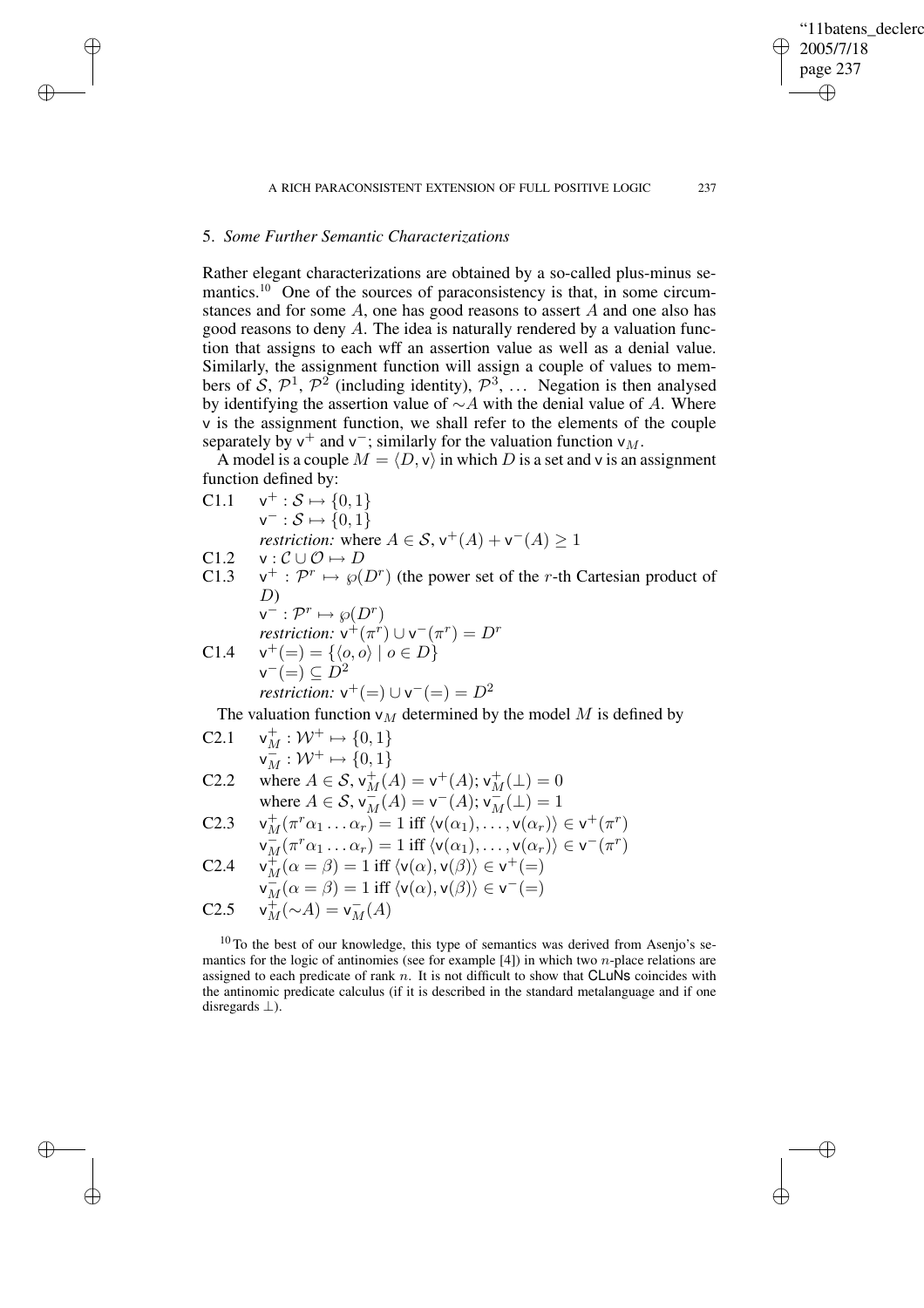"11batens\_declerc

2005/7/18 page 237

✐

✐

✐

✐

# 5. *Some Further Semantic Characterizations*

✐

✐

✐

✐

Rather elegant characterizations are obtained by a so-called plus-minus semantics.<sup>10</sup> One of the sources of paraconsistency is that, in some circumstances and for some A, one has good reasons to assert A and one also has good reasons to deny A. The idea is naturally rendered by a valuation function that assigns to each wff an assertion value as well as a denial value. Similarly, the assignment function will assign a couple of values to members of S,  $\mathcal{P}^1$ ,  $\mathcal{P}^2$  (including identity),  $\mathcal{P}^3$ , ... Negation is then analysed by identifying the assertion value of  $\sim$  A with the denial value of A. Where v is the assignment function, we shall refer to the elements of the couple separately by  $v^+$  and  $v^-$ ; similarly for the valuation function  $v_M$ .

A model is a couple  $M = \langle D, v \rangle$  in which D is a set and v is an assignment function defined by:

C1.1 
$$
\mathsf{v}^+ : \mathcal{S} \mapsto \{0, 1\}
$$
  
\n $\mathsf{v}^- : \mathcal{S} \mapsto \{0, 1\}$   
\n*restriction*: where  $A \in \mathcal{S}$ ,  $\mathsf{v}^+(A) + \mathsf{v}^-(A) \ge 1$   
\nC1.2  $\mathsf{v} : \mathcal{C} \cup \mathcal{O} \mapsto D$ 

 $C1.3$  $+ : \mathcal{P}^r \mapsto \wp(D^r)$  (the power set of the r-th Cartesian product of D)<br> $\frac{D}{r} \cdot \mathcal{D}^r$ 

$$
\mathbf{v}^- : \mathcal{P}^r \mapsto \wp(D^r)
$$
  
restriction:  $\mathbf{v}^+(\pi^r) \cup \mathbf{v}^-(\pi^r) = D^r$   
C1.4  $\mathbf{v}^+ (=) = \{ \langle o, o \rangle \mid o \in D \}$ 

$$
\mathsf{v}^{-}(\mathsf{=} ) \subseteq D^2
$$
  
restriction: 
$$
\mathsf{v}^{+}(\mathsf{=} ) \cup \mathsf{v}^{-}(\mathsf{=} ) = D^2
$$

The valuation function  $v_M$  determined by the model M is defined by

C2.1 
$$
\mathsf{v}_{M}^{+}: \mathcal{W}^{+} \mapsto \{0, 1\}
$$

$$
\mathsf{v}_{M}^{-}: \mathcal{W}^{+} \mapsto \{0, 1\}
$$

$$
\mathsf{C2.2} \quad \text{where } A \in \mathcal{S}, \mathsf{v}_{M}^{+}(A) = \mathsf{v}^{+}(A); \mathsf{v}_{M}^{+}(\bot) = 0
$$

$$
\text{where } A \in \mathcal{S}, \mathsf{v}_{M}^{-}(A) = \mathsf{v}^{-}(A); \mathsf{v}_{M}^{-}(\bot) = 1
$$

$$
\mathsf{C2.3} \quad \mathsf{v}_{M}^{+}(\pi^{r}\alpha_{1} \ldots \alpha_{r}) = 1 \text{ iff } \langle \mathsf{v}(\alpha_{1}), \ldots, \mathsf{v}(\alpha_{r}) \rangle \in \mathsf{v}^{+}(\pi^{r})
$$

$$
\mathsf{C2.4} \quad \mathsf{v}_M^{\mathsf{T}}(\pi^r \alpha_1 \dots \alpha_r) = 1 \text{ iff } \langle \mathsf{v}(\alpha_1), \dots, \mathsf{v}(\alpha_r) \rangle \in \mathsf{v}^-(\pi^r)
$$
\n
$$
\mathsf{C2.4} \quad \mathsf{v}_M^{\mathsf{T}}(\alpha = \beta) = 1 \text{ iff } \langle \mathsf{v}(\alpha), \mathsf{v}(\beta) \rangle \in \mathsf{v}^+(=)
$$

$$
\overline{v_M}(\alpha = \beta) = 1 \text{ iff } \langle v(\alpha), v(\beta) \rangle \in v^- (=)
$$

$$
C2.5 \quad \mathsf{v}_M^+(\sim A) = \mathsf{v}_M^-(A)
$$

<sup>10</sup> To the best of our knowledge, this type of semantics was derived from Asenjo's semantics for the logic of antinomies (see for example [4]) in which two *n*-place relations are assigned to each predicate of rank n. It is not difficult to show that  $CLu\overline{Ns}$  coincides with the antinomic predicate calculus (if it is described in the standard metalanguage and if one disregards  $\perp$ ).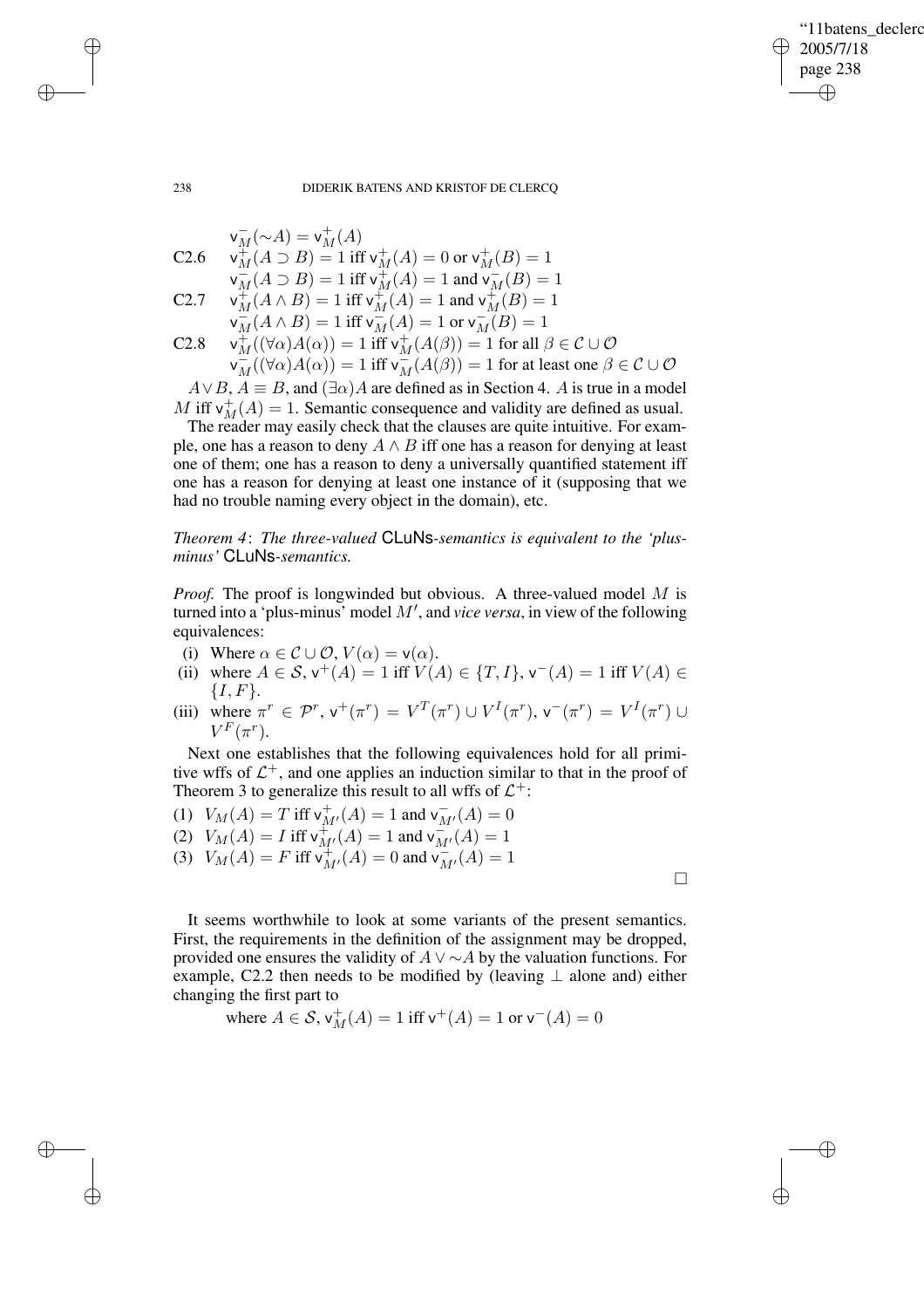### 238 DIDERIK BATENS AND KRISTOF DE CLERCQ

$$
v_M^-(\sim A) = v_M^+(A)
$$
  
\nC2.6  $v_M^+(A \supset B) = 1$  iff  $v_M^+(A) = 0$  or  $v_M^+(B) = 1$   
\n $v_M^-(A \supset B) = 1$  iff  $v_M^+(A) = 1$  and  $v_M^-(B) = 1$   
\nC2.7  $v_M^+(A \wedge B) = 1$  iff  $v_M^+(A) = 1$  and  $v_M^+(B) = 1$   
\n $v_M^-(A \wedge B) = 1$  iff  $v_M^-(A) = 1$  or  $v_M^-(B) = 1$   
\nC2.8  $v_M^+( (\forall \alpha) A(\alpha) ) = 1$  iff  $v_M^+(A(\beta)) = 1$  for all  $\beta \in \mathcal{C} \cup \mathcal{O}$   
\n $v_M^-( (\forall \alpha) A(\alpha) ) = 1$  iff  $v_M^-(A(\beta)) = 1$  for at least one  $\beta \in \mathcal{C} \cup \mathcal{O}$ 

 $A \vee B$ ,  $A \equiv B$ , and  $(\exists \alpha)A$  are defined as in Section 4. A is true in a model  $M$  iff  $v_M^+(A) = 1$ . Semantic consequence and validity are defined as usual.

The reader may easily check that the clauses are quite intuitive. For example, one has a reason to deny  $A \wedge B$  iff one has a reason for denying at least one of them; one has a reason to deny a universally quantified statement iff one has a reason for denying at least one instance of it (supposing that we had no trouble naming every object in the domain), etc.

*Theorem 4*: *The three-valued* CLuNs*-semantics is equivalent to the 'plusminus'* CLuNs*-semantics.*

*Proof.* The proof is longwinded but obvious. A three-valued model M is turned into a 'plus-minus' model  $M'$ , and *vice versa*, in view of the following equivalences:

- (i) Where  $\alpha \in \mathcal{C} \cup \mathcal{O}, V(\alpha) = v(\alpha)$ .
- (ii) where  $A \in S$ ,  $v^+(A) = 1$  iff  $V(A) \in \{T, I\}$ ,  $v^-(A) = 1$  iff  $V(A) \in$  $\{I, F\}.$
- (iii) where  $\pi^r \in \mathcal{P}^r$ ,  $v^+(\pi^r) = V^T(\pi^r) \cup V^I(\pi^r)$ ,  $v^-(\pi^r) = V^I(\pi^r) \cup$  $V^F(\pi^r)$ .

Next one establishes that the following equivalences hold for all primitive wffs of  $\mathcal{L}^+$ , and one applies an induction similar to that in the proof of Theorem 3 to generalize this result to all wffs of  $\mathcal{L}^+$ :

(1)  $V_M(A) = T$  iff  $v^+_{M'}(A) = 1$  and  $v^-_{M'}(A) = 0$ (2)  $V_M(A) = I$  iff  $v^{\dagger}_{M'}(A) = 1$  and  $v^{\dagger}_{M'}(A) = 1$ (3)  $V_M(A) = F$  iff  $v^+_{M'}(A) = 0$  and  $v^-_{M'}(A) = 1$ 

 $\Box$ 

✐

✐

It seems worthwhile to look at some variants of the present semantics. First, the requirements in the definition of the assignment may be dropped, provided one ensures the validity of  $A \vee \sim A$  by the valuation functions. For example, C2.2 then needs to be modified by (leaving  $\perp$  alone and) either changing the first part to

where 
$$
A \in S
$$
,  $v_M^+(A) = 1$  iff  $v^+(A) = 1$  or  $v^-(A) = 0$ 

✐

✐

✐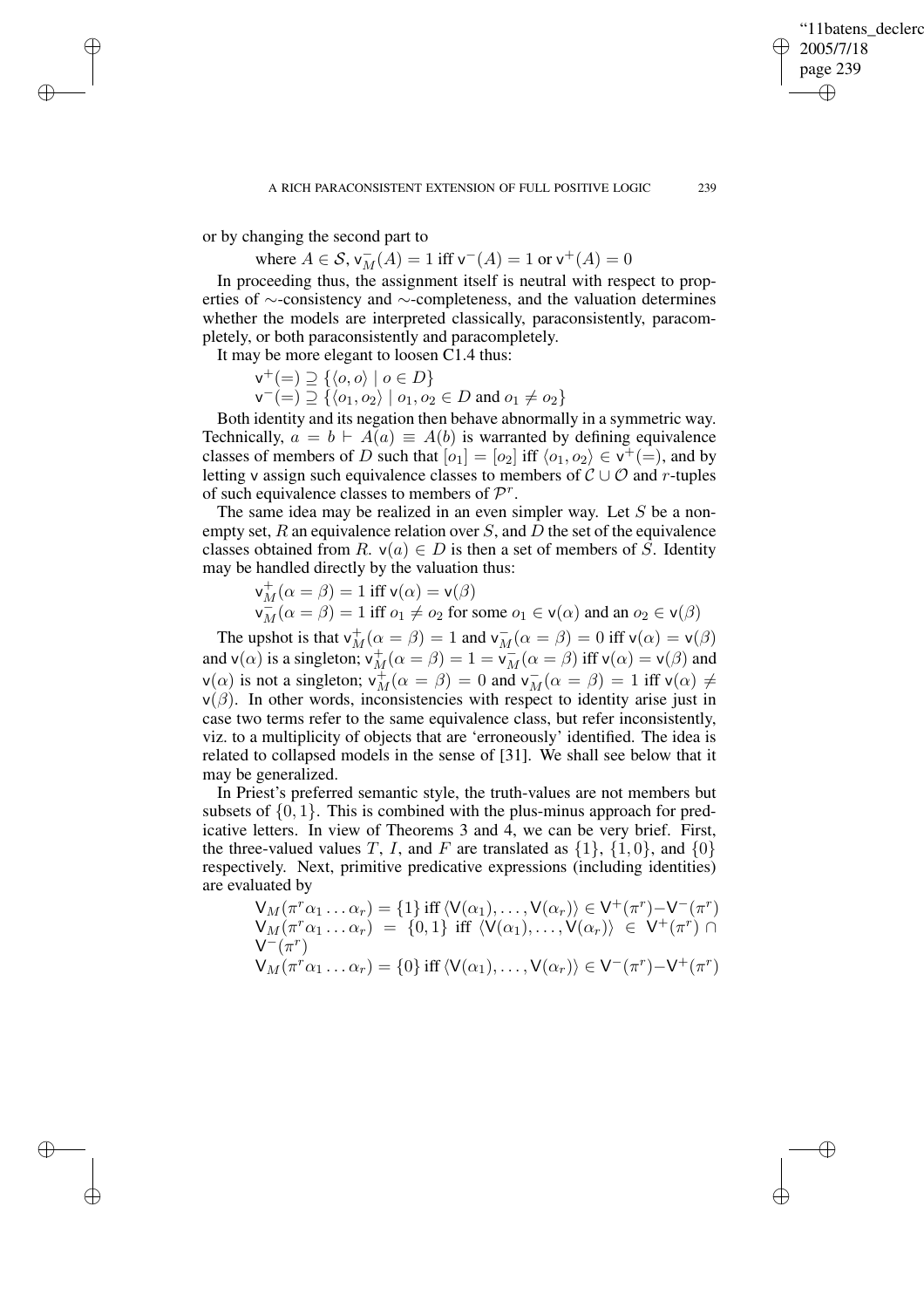✐

or by changing the second part to

✐

✐

✐

✐

where  $A \in S$ ,  $v_M^-(A) = 1$  iff  $v^-(A) = 1$  or  $v^+(A) = 0$ 

In proceeding thus, the assignment itself is neutral with respect to properties of ∼-consistency and ∼-completeness, and the valuation determines whether the models are interpreted classically, paraconsistently, paracompletely, or both paraconsistently and paracompletely.

It may be more elegant to loosen C1.4 thus:

$$
\mathsf{v}^+ (=)\supseteq \{\langle o,o\rangle \mid o\in D\}
$$

 $\mathsf{v}^-(=) \supseteq {\{o_1, o_2\} \mid o_1, o_2 \in D \text{ and } o_1 \neq o_2\}}$ 

Both identity and its negation then behave abnormally in a symmetric way. Technically,  $a = b \vdash A(a) \equiv A(b)$  is warranted by defining equivalence classes of members of D such that  $[o_1] = [o_2]$  iff  $\langle o_1, o_2 \rangle \in v^+(=)$ , and by letting v assign such equivalence classes to members of  $C \cup O$  and r-tuples of such equivalence classes to members of  $\mathcal{P}^r$ .

The same idea may be realized in an even simpler way. Let  $S$  be a nonempty set,  $R$  an equivalence relation over  $S$ , and  $D$  the set of the equivalence classes obtained from R.  $v(a) \in D$  is then a set of members of S. Identity may be handled directly by the valuation thus:

$$
\begin{array}{l} \mathsf{v}_M^+(\alpha=\beta)=1 \text{ iff } \mathsf{v}(\alpha)=\mathsf{v}(\beta)\\ \mathsf{v}_M^-(\alpha=\beta)=1 \text{ iff } o_1\neq o_2 \text{ for some } o_1\in \mathsf{v}(\alpha) \text{ and an } o_2\in \mathsf{v}(\beta) \end{array}
$$

The upshot is that  $v_M^+(\alpha = \beta) = 1$  and  $v_M^-(\alpha = \beta) = 0$  iff  $v(\alpha) = v(\beta)$ and  $v(\alpha)$  is a singleton;  $v_M^+(\alpha = \beta) = 1 = v_M^-(\alpha = \beta)$  iff  $v(\alpha) = v(\beta)$  and  $v(\alpha)$  is not a singleton;  $v_L^+(\alpha = \beta) = 0$  and  $v_L^-(\alpha = \beta) = 1$  iff  $v(\alpha) \neq$  $v(\alpha)$  is not a singleton;  $v_M^{\dagger}(\alpha = \beta) = 0$  and  $v_M^{\dagger}(\alpha = \beta) = 1$  iff  $v(\alpha) \neq 0$  $v(\beta)$ . In other words, inconsistencies with respect to identity arise just in case two terms refer to the same equivalence class, but refer inconsistently, viz. to a multiplicity of objects that are 'erroneously' identified. The idea is related to collapsed models in the sense of [31]. We shall see below that it may be generalized.

In Priest's preferred semantic style, the truth-values are not members but subsets of  $\{0, 1\}$ . This is combined with the plus-minus approach for predicative letters. In view of Theorems 3 and 4, we can be very brief. First, the three-valued values T, I, and F are translated as  $\{1\}$ ,  $\{1, 0\}$ , and  $\{0\}$ respectively. Next, primitive predicative expressions (including identities) are evaluated by

$$
\begin{aligned}\n\mathsf{V}_{M}(\pi^{r}\alpha_{1} \dots \alpha_{r}) &= \{1\} \text{ iff } \langle \mathsf{V}(\alpha_{1}), \dots, \mathsf{V}(\alpha_{r}) \rangle \in \mathsf{V}^{+}(\pi^{r}) - \mathsf{V}^{-}(\pi^{r}) \\
\mathsf{V}_{M}(\pi^{r}\alpha_{1} \dots \alpha_{r}) &= \{0,1\} \text{ iff } \langle \mathsf{V}(\alpha_{1}), \dots, \mathsf{V}(\alpha_{r}) \rangle \in \mathsf{V}^{+}(\pi^{r}) \cap \\
\mathsf{V}_{M}(\pi^{r}\alpha_{1} \dots \alpha_{r}) &= \{0\} \text{ iff } \langle \mathsf{V}(\alpha_{1}), \dots, \mathsf{V}(\alpha_{r}) \rangle \in \mathsf{V}^{-}(\pi^{r}) - \mathsf{V}^{+}(\pi^{r})\n\end{aligned}
$$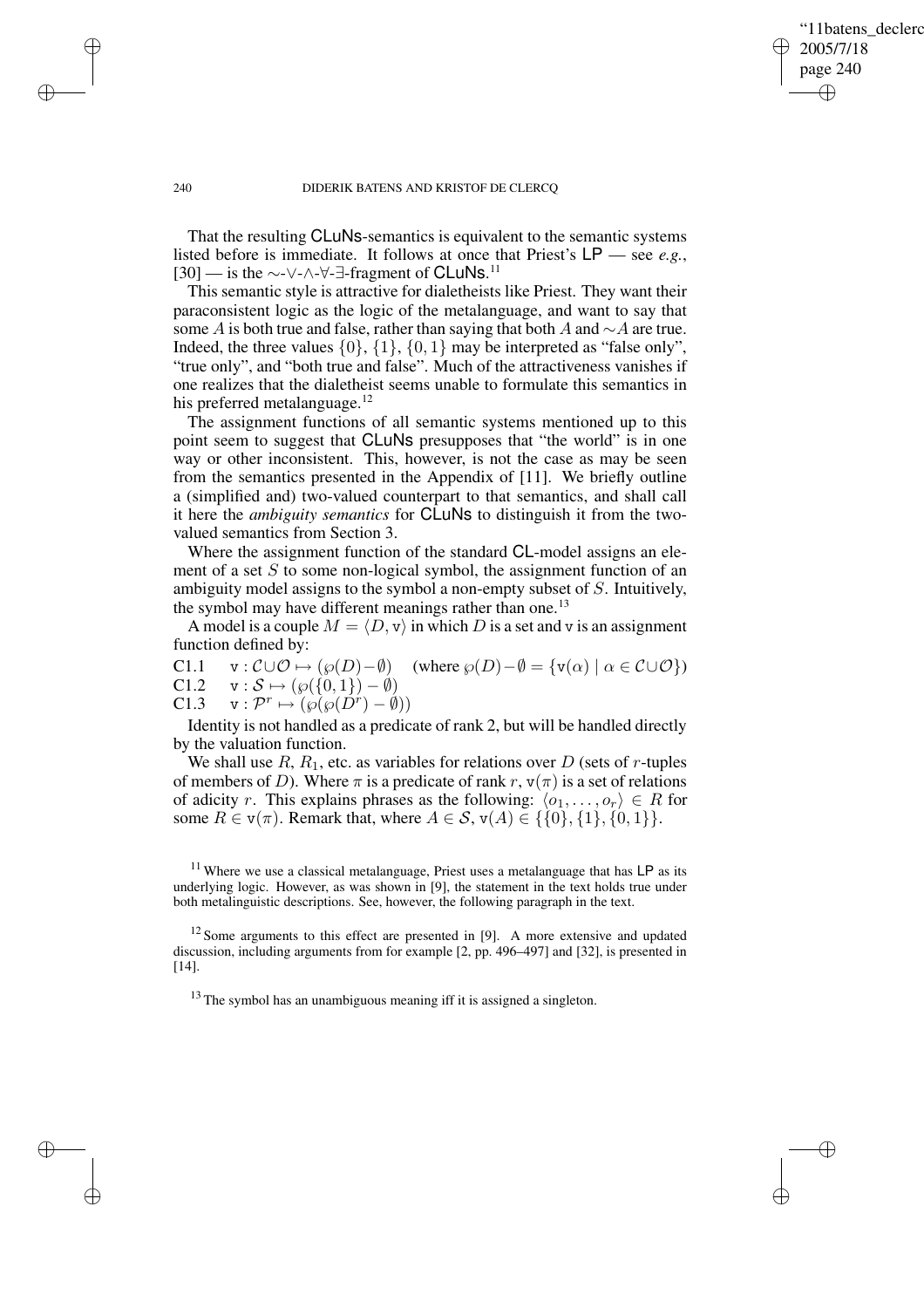✐

## 240 DIDERIK BATENS AND KRISTOF DE CLERCQ

That the resulting CLuNs-semantics is equivalent to the semantic systems listed before is immediate. It follows at once that Priest's LP — see *e.g.*, [30] — is the ∼-∨-∧-∀-∃-fragment of CLuNs.<sup>11</sup>

This semantic style is attractive for dialetheists like Priest. They want their paraconsistent logic as the logic of the metalanguage, and want to say that some A is both true and false, rather than saying that both A and  $\sim A$  are true. Indeed, the three values  $\{0\}$ ,  $\{1\}$ ,  $\{0, 1\}$  may be interpreted as "false only", "true only", and "both true and false". Much of the attractiveness vanishes if one realizes that the dialetheist seems unable to formulate this semantics in his preferred metalanguage.<sup>12</sup>

The assignment functions of all semantic systems mentioned up to this point seem to suggest that CLuNs presupposes that "the world" is in one way or other inconsistent. This, however, is not the case as may be seen from the semantics presented in the Appendix of [11]. We briefly outline a (simplified and) two-valued counterpart to that semantics, and shall call it here the *ambiguity semantics* for CLuNs to distinguish it from the twovalued semantics from Section 3.

Where the assignment function of the standard CL-model assigns an element of a set  $S$  to some non-logical symbol, the assignment function of an ambiguity model assigns to the symbol a non-empty subset of S. Intuitively, the symbol may have different meanings rather than one.<sup>13</sup>

A model is a couple  $M = \langle D, v \rangle$  in which D is a set and v is an assignment function defined by:

C1.1  $\mathbf{v}: \mathcal{C}\cup\mathcal{O}\mapsto (\wp(D)-\emptyset)$  (where  $\wp(D)-\emptyset = {\mathbf{v}(\alpha) \mid \alpha \in \mathcal{C}\cup\mathcal{O}}$ ) C1.2  $\mathbf{v}: \mathcal{S} \mapsto (\wp(\{0, 1\}) - \emptyset)$ 

 $C1.3 \quad v: \mathcal{P}^r \mapsto (\wp(\wp(\check{D}^r) - \check{\emptyset}))$ 

Identity is not handled as a predicate of rank 2, but will be handled directly by the valuation function.

We shall use  $R$ ,  $R_1$ , etc. as variables for relations over D (sets of r-tuples of members of D). Where  $\pi$  is a predicate of rank r,  $v(\pi)$  is a set of relations of adicity r. This explains phrases as the following:  $\langle o_1, \ldots, o_r \rangle \in R$  for some  $R \in v(\pi)$ . Remark that, where  $A \in S$ ,  $v(A) \in \{ \{0\}, \{1\}, \{0, 1\} \}.$ 

 $11$  Where we use a classical metalanguage, Priest uses a metalanguage that has LP as its underlying logic. However, as was shown in [9], the statement in the text holds true under both metalinguistic descriptions. See, however, the following paragraph in the text.

 $12$  Some arguments to this effect are presented in [9]. A more extensive and updated discussion, including arguments from for example [2, pp. 496–497] and [32], is presented in [14].

 $13$  The symbol has an unambiguous meaning iff it is assigned a singleton.

✐

✐

✐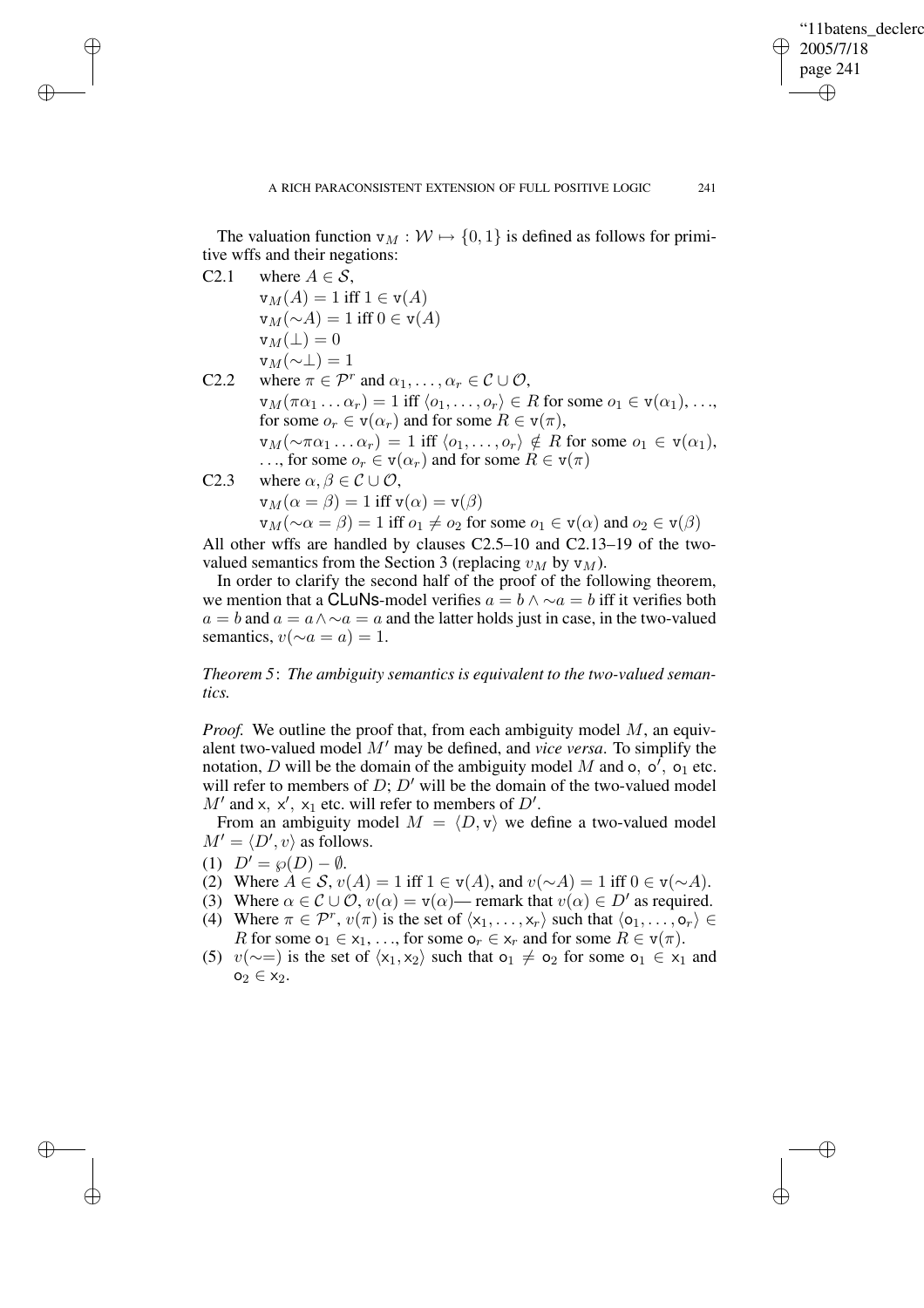✐

The valuation function  $v_M : \mathcal{W} \mapsto \{0, 1\}$  is defined as follows for primitive wffs and their negations:

C2.1 where  $A \in \mathcal{S}$ ,

✐

✐

✐

✐

 $v_M(A) = 1$  iff  $1 \in v(A)$  $\mathsf{v}_M(\sim A) = 1$  iff  $0 \in \mathsf{v}(A)$  $v_M(\perp) = 0$  $v_M(\sim\perp)=1$ 

- C2.2 where  $\pi \in \mathcal{P}^r$  and  $\alpha_1, \dots, \alpha_r \in \mathcal{C} \cup \mathcal{O}$ ,  $\mathbf{v}_M(\pi \alpha_1 \dots \alpha_r) = 1$  iff  $\langle o_1, \dots, o_r \rangle \in R$  for some  $o_1 \in \mathbf{v}(\alpha_1), \dots,$ for some  $o_r \in v(\alpha_r)$  and for some  $R \in v(\pi)$ ,  $\mathsf{v}_M(\sim \pi\alpha_1 \ldots \alpha_r) = 1$  iff  $\langle o_1, \ldots, o_r \rangle \notin R$  for some  $o_1 \in \mathsf{v}(\alpha_1)$ , ..., for some  $o_r \in v(\alpha_r)$  and for some  $R \in v(\pi)$ C2.3 where  $\alpha, \beta \in \mathcal{C} \cup \mathcal{O}$ ,  $v_M(\alpha = \beta) = 1$  iff  $v(\alpha) = v(\beta)$ 
	- $\mathbf{v}_M(\sim \alpha = \beta) = 1$  iff  $o_1 \neq o_2$  for some  $o_1 \in \mathbf{v}(\alpha)$  and  $o_2 \in \mathbf{v}(\beta)$

All other wffs are handled by clauses C2.5–10 and C2.13–19 of the twovalued semantics from the Section 3 (replacing  $v_M$  by  $v_M$ ).

In order to clarify the second half of the proof of the following theorem, we mention that a CLuNs-model verifies  $a = b \wedge \sim a = b$  iff it verifies both  $a = b$  and  $a = a \wedge \neg a = a$  and the latter holds just in case, in the two-valued semantics,  $v(\sim a = a) = 1$ .

*Theorem 5*: *The ambiguity semantics is equivalent to the two-valued semantics.*

*Proof.* We outline the proof that, from each ambiguity model M, an equivalent two-valued model M' may be defined, and *vice versa*. To simplify the notation, D will be the domain of the ambiguity model M and o,  $o'$ ,  $o_1$  etc. will refer to members of  $D$ ;  $D'$  will be the domain of the two-valued model  $M'$  and x, x', x<sub>1</sub> etc. will refer to members of D'.

From an ambiguity model  $M = \langle D, v \rangle$  we define a two-valued model  $M' = \langle D', v \rangle$  as follows.

- (1)  $D' = \wp(D) \emptyset$ .
- (2) Where  $A \in \mathcal{S}$ ,  $v(A) = 1$  iff  $1 \in v(A)$ , and  $v(\sim A) = 1$  iff  $0 \in v(\sim A)$ .
- (3) Where  $\alpha \in \mathcal{C} \cup \mathcal{O}$ ,  $v(\alpha) = v(\alpha)$  remark that  $v(\alpha) \in D'$  as required.
- (4) Where  $\pi \in \mathcal{P}^r$ ,  $v(\pi)$  is the set of  $\langle x_1, \ldots, x_r \rangle$  such that  $\langle o_1, \ldots, o_r \rangle \in$ R for some  $o_1 \in x_1, \ldots$ , for some  $o_r \in x_r$  and for some  $R \in v(\pi)$ .
- (5)  $v(\sim=)$  is the set of  $\langle x_1, x_2 \rangle$  such that  $o_1 \neq o_2$  for some  $o_1 \in x_1$  and  $o_2 \in x_2$ .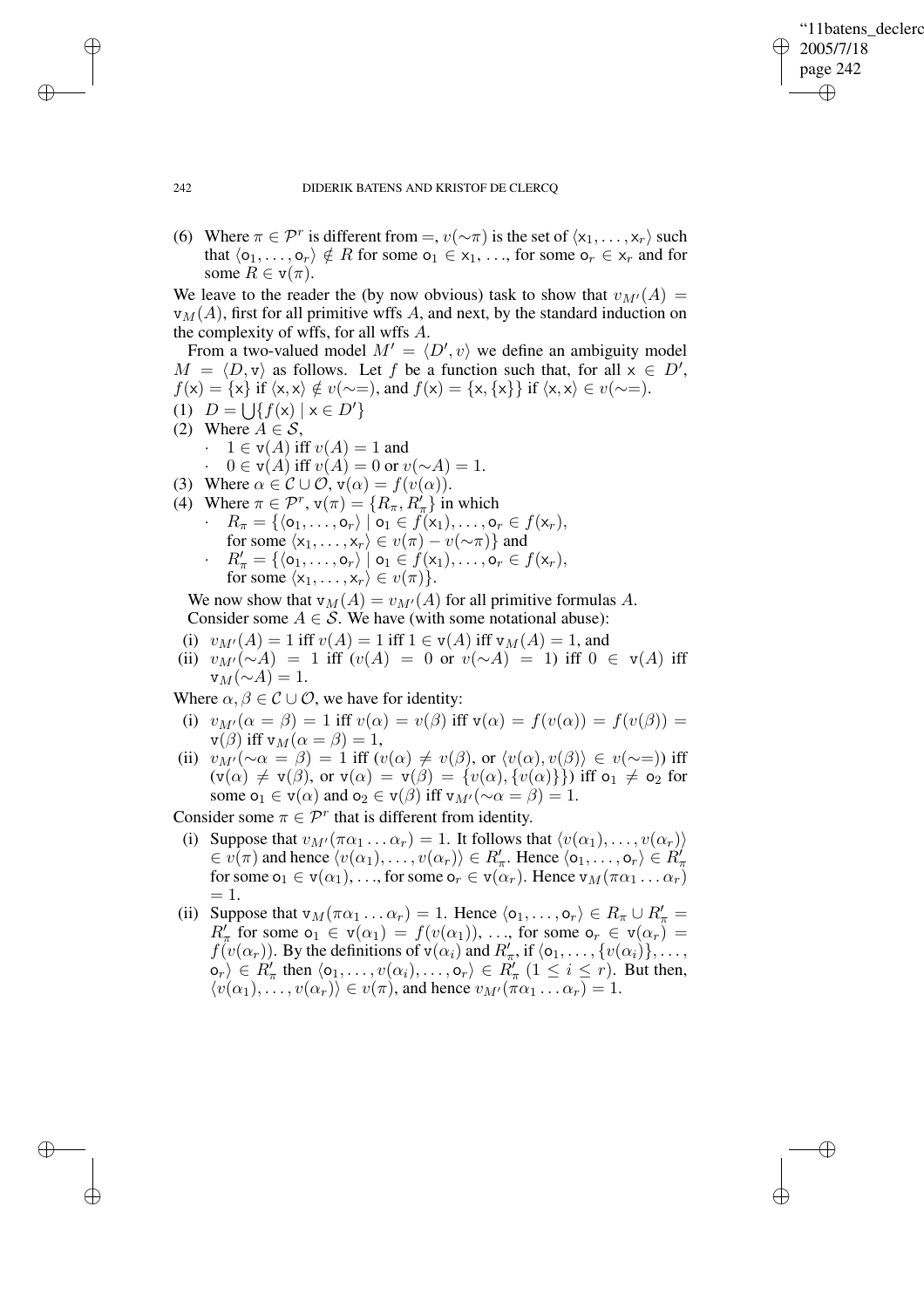✐

## 242 DIDERIK BATENS AND KRISTOF DE CLERCQ

(6) Where  $\pi \in \mathcal{P}^r$  is different from =,  $v(\sim \pi)$  is the set of  $\langle x_1, \ldots, x_r \rangle$  such that  $\langle o_1, \ldots, o_r \rangle \notin R$  for some  $o_1 \in x_1, \ldots$ , for some  $o_r \in x_r$  and for some  $R \in v(\pi)$ .

We leave to the reader the (by now obvious) task to show that  $v_{M'}(A) =$  $v_M(A)$ , first for all primitive wffs A, and next, by the standard induction on the complexity of wffs, for all wffs A.

From a two-valued model  $M' = \langle D', v \rangle$  we define an ambiguity model  $M = \langle D, v \rangle$  as follows. Let f be a function such that, for all  $x \in D'$ ,  $f(x) = \{x\}$  if  $\langle x, x \rangle \notin v(\sim=)$ , and  $f(x) = \{x, \{x\}\}\$ if  $\langle x, x \rangle \in v(\sim=)$ . (1)  $D = \bigcup \{ f(x) \mid x \in D' \}$ (2) Where  $A \in \mathcal{S}$ ,  $\cdot$  1  $\in$  v(A) iff  $v(A) = 1$  and  $0 \in v(A)$  iff  $v(A) = 0$  or  $v(\sim A) = 1$ . (3) Where  $\alpha \in \mathcal{C} \cup \mathcal{O}$ ,  $v(\alpha) = f(v(\alpha))$ . (4) Where  $\pi \in \mathcal{P}^r$ ,  $\mathbf{v}(\pi) = \{R_\pi, R_\pi\}$  in which  $R_{\pi} = \{\langle o_1, \ldots, o_r \rangle \mid o_1 \in f(x_1), \ldots, o_r \in f(x_r),\}$ for some  $\langle x_1, \ldots, x_r \rangle \in v(\pi) - v(\sim \pi)$  and  $R'_\pi = \{ \langle o_1, \ldots, o_r \rangle \mid o_1 \in f(x_1), \ldots, o_r \in f(x_r), \}$ for some  $\langle x_1, \ldots, x_r \rangle \in v(\pi)$ .

We now show that  $v_M(A) = v_{M'}(A)$  for all primitive formulas A. Consider some  $A \in \mathcal{S}$ . We have (with some notational abuse):

- (i)  $v_{M'}(A) = 1$  iff  $v(A) = 1$  iff  $1 \in v(A)$  iff  $v_M(A) = 1$ , and
- (ii)  $v_{M}(\sim)$  = 1 iff  $(v(A) = 0 \text{ or } v(\sim)A = 1)$  iff  $0 \in v(A)$  iff  $v_M(\sim A) = 1.$

Where  $\alpha, \beta \in \mathcal{C} \cup \mathcal{O}$ , we have for identity:

- (i)  $v_{M'}(\alpha = \beta) = 1$  iff  $v(\alpha) = v(\beta)$  iff  $v(\alpha) = f(v(\alpha)) = f(v(\beta)) =$  $\mathbf{v}(\beta)$  iff  $\mathbf{v}_M(\alpha = \beta) = 1$ ,
- (ii)  $v_{M'}(\sim \alpha = \beta) = 1$  iff  $(v(\alpha) \neq v(\beta)$ , or  $\langle v(\alpha), v(\beta) \rangle \in v(\sim=)$ ) iff  $(v(\alpha) \neq v(\beta)$ , or  $v(\alpha) = v(\beta) = \{v(\alpha), \{v(\alpha)\}\}\)$  iff  $o_1 \neq o_2$  for some  $o_1 \in v(\alpha)$  and  $o_2 \in v(\beta)$  iff  $v_{M'}(\sim \alpha = \beta) = 1$ .

Consider some  $\pi \in \mathcal{P}^r$  that is different from identity.

- (i) Suppose that  $v_{M'}(\pi \alpha_1 \dots \alpha_r) = 1$ . It follows that  $\langle v(\alpha_1), \dots, v(\alpha_r) \rangle$  $\in v(\pi)$  and hence  $\langle v(\alpha_1), \ldots, v(\alpha_r) \rangle \in R'_\pi$ . Hence  $\langle o_1, \ldots, o_r \rangle \in R'_\pi$ for some  $o_1 \in v(\alpha_1), \ldots$ , for some  $o_r \in v(\alpha_r)$ . Hence  $v_M(\pi \alpha_1 \ldots \alpha_r)$  $= 1.$
- (ii) Suppose that  $v_M(\pi \alpha_1 \dots \alpha_r) = 1$ . Hence  $\langle o_1, \dots, o_r \rangle \in R_\pi \cup R'_\pi =$  $R'_\pi$  for some  $o_1 \in v(\alpha_1) = f(v(\alpha_1)), \ldots$ , for some  $o_r \in v(\alpha_r) =$  $f(v(\alpha_r))$ . By the definitions of  $v(\alpha_i)$  and  $R'_\pi$ , if  $\langle o_1, \ldots, \{v(\alpha_i)\}, \ldots$ ,  $\langle \mathsf{o}_r \rangle \in R'_\pi$  then  $\langle \mathsf{o}_1, \ldots, \mathsf{v}(\alpha_i), \ldots, \mathsf{o}_r \rangle \in R'_\pi$   $(1 \leq i \leq r)$ . But then,  $\langle v(\alpha_1), \ldots, v(\alpha_r) \rangle \in v(\pi)$ , and hence  $v_{M'}(\pi \alpha_1 \ldots \alpha_r) = 1$ .

✐

✐

✐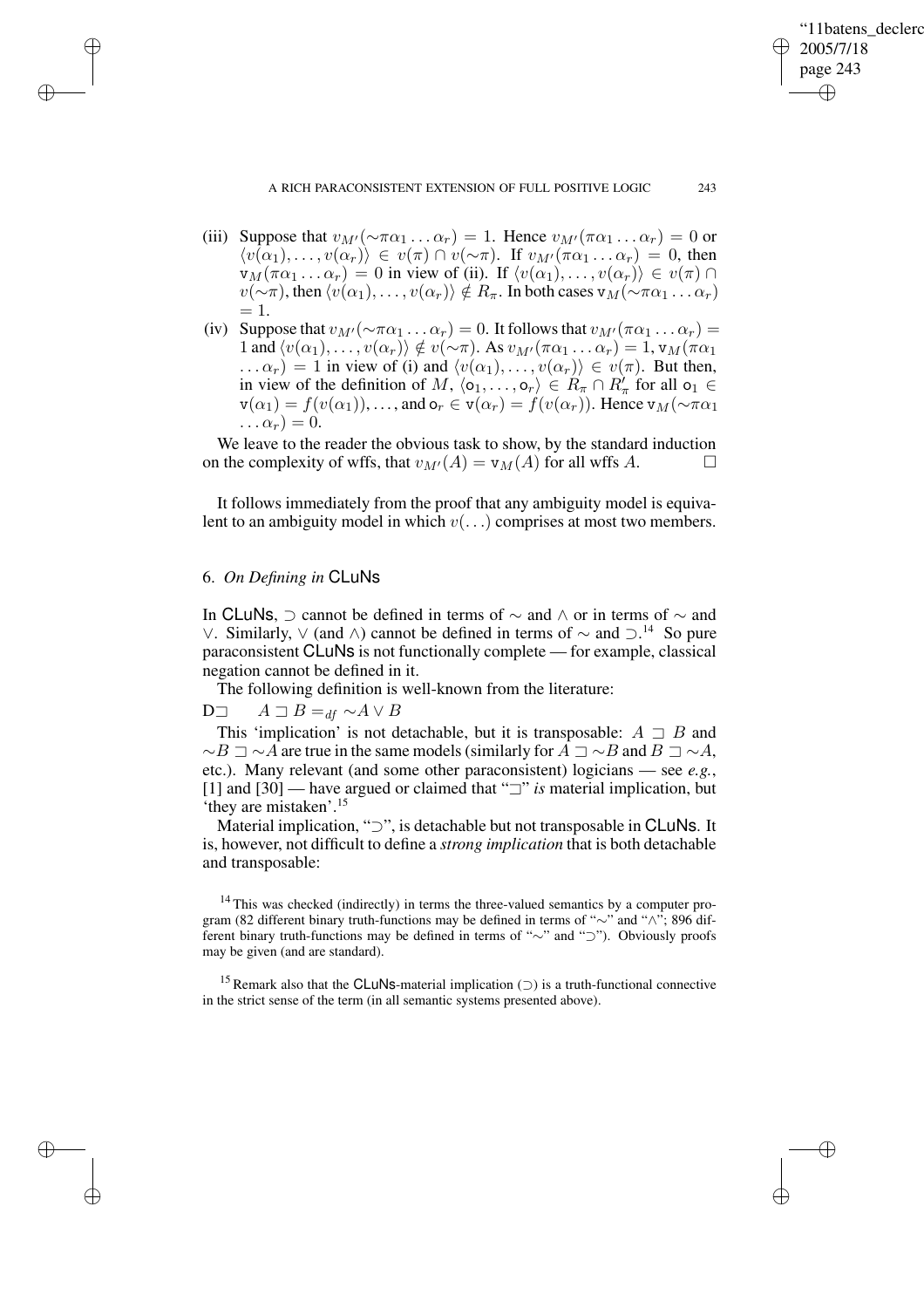✐

- (iii) Suppose that  $v_{M}(\sim \pi\alpha_1 \dots \alpha_r) = 1$ . Hence  $v_{M}(\pi\alpha_1 \dots \alpha_r) = 0$  or  $\langle v(\alpha_1), \ldots, v(\alpha_r) \rangle \in v(\pi) \cap v(\sim \pi)$ . If  $v_{M'}(\pi \alpha_1 \ldots \alpha_r) = 0$ , then  $v_M(\pi \alpha_1 \dots \alpha_r) = 0$  in view of (ii). If  $\langle v(\alpha_1), \dots, v(\alpha_r) \rangle \in v(\pi) \cap$  $v(\sim \pi)$ , then  $\langle v(\alpha_1), \ldots, v(\alpha_r) \rangle \notin R_\pi$ . In both cases  $v_M(\sim \pi \alpha_1 \ldots \alpha_r)$  $= 1.$
- (iv) Suppose that  $v_{M'}(\sim \pi\alpha_1 \dots \alpha_r) = 0$ . It follows that  $v_{M'}(\pi\alpha_1 \dots \alpha_r) =$ 1 and  $\langle v(\alpha_1), \ldots, v(\alpha_r) \rangle \notin v(\sim \pi)$ . As  $v_{M'}(\pi \alpha_1 \ldots \alpha_r) = 1$ ,  $v_M(\pi \alpha_1)$  $\ldots \alpha_r$ ) = 1 in view of (i) and  $\langle v(\alpha_1), \ldots, v(\alpha_r) \rangle \in v(\pi)$ . But then, in view of the definition of M,  $\langle o_1, \ldots, o_r \rangle \in R_{\pi} \cap R_{\pi}'$  for all  $o_1 \in$  $v(\alpha_1) = f(v(\alpha_1)), \ldots$ , and  $o_r \in v(\alpha_r) = f(v(\alpha_r))$ . Hence  $v_M(\sim \pi \alpha_1)$  $\ldots \alpha_r = 0.$

We leave to the reader the obvious task to show, by the standard induction on the complexity of wffs, that  $v_{M'}(A) = v_M(A)$  for all wffs A.

It follows immediately from the proof that any ambiguity model is equivalent to an ambiguity model in which  $v(\ldots)$  comprises at most two members.

## 6. *On Defining in* CLuNs

✐

✐

✐

✐

In CLuNs,  $\supset$  cannot be defined in terms of  $\sim$  and  $\land$  or in terms of  $\sim$  and ∨. Similarly,  $\vee$  (and  $\wedge$ ) cannot be defined in terms of  $\sim$  and  $\supset$ .<sup>14</sup> So pure paraconsistent CLuNs is not functionally complete — for example, classical negation cannot be defined in it.

The following definition is well-known from the literature:

# D $\Box$   $A \sqsupset B =_{df} \sim A \vee B$

This 'implication' is not detachable, but it is transposable:  $A \supseteq B$  and  $\sim$ B  $\supset \sim A$  are true in the same models (similarly for  $A \supset \sim B$  and  $B \supset \sim A$ , etc.). Many relevant (and some other paraconsistent) logicians — see *e.g.*, [1] and  $[30]$  — have argued or claimed that " $\exists$ " *is* material implication, but 'they are mistaken'.<sup>15</sup>

Material implication, "⊃", is detachable but not transposable in CLuNs. It is, however, not difficult to define a *strong implication* that is both detachable and transposable:

<sup>14</sup> This was checked (indirectly) in terms the three-valued semantics by a computer program (82 different binary truth-functions may be defined in terms of "∼" and "∧"; 896 different binary truth-functions may be defined in terms of "∼" and "⊃"). Obviously proofs may be given (and are standard).

<sup>15</sup> Remark also that the CLuNs-material implication  $($ ) is a truth-functional connective in the strict sense of the term (in all semantic systems presented above).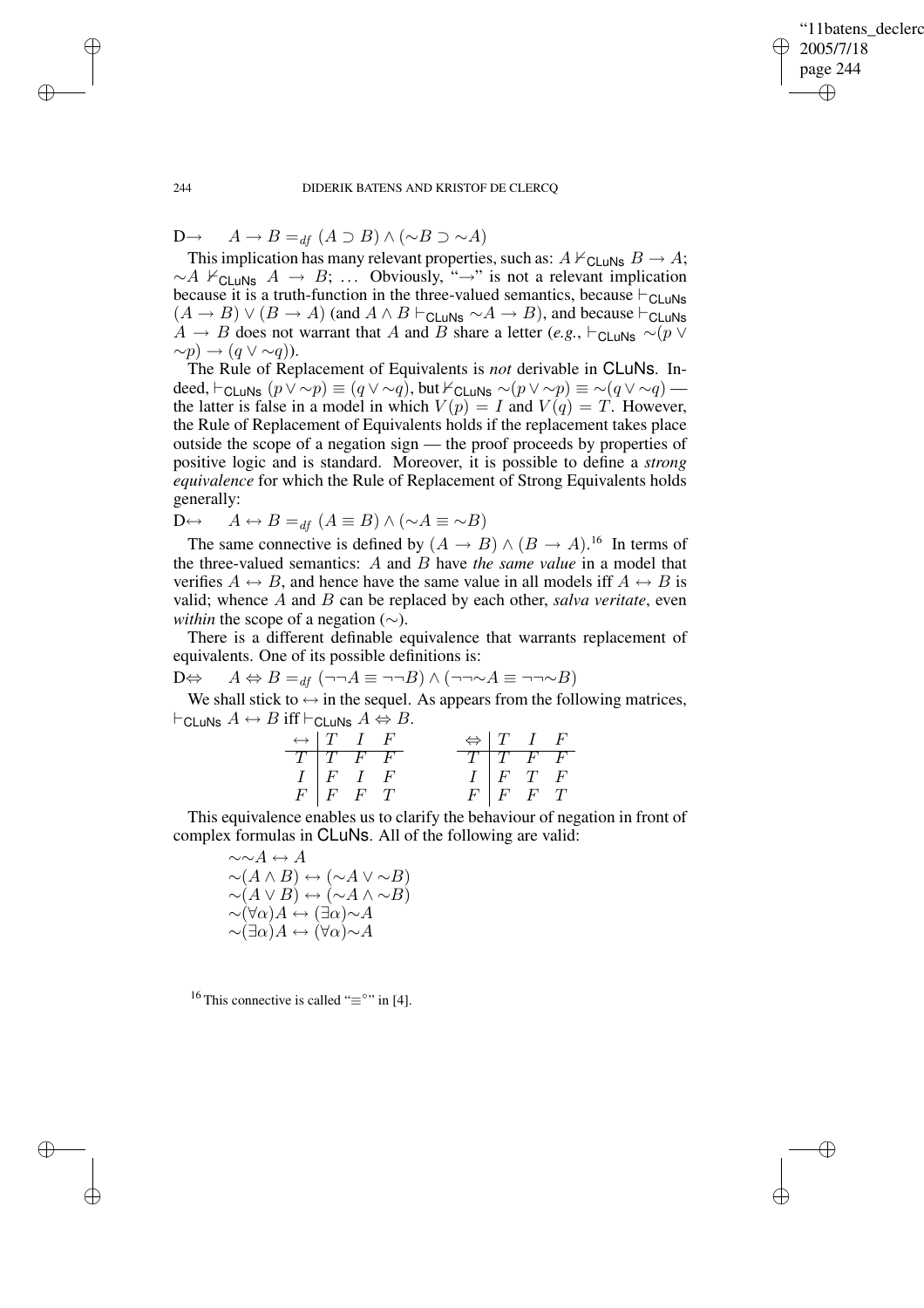✐

## 244 DIDERIK BATENS AND KRISTOF DE CLERCQ

D→  $A \rightarrow B =_{df} (A \supset B) \wedge (\sim B \supset \sim A)$ 

This implication has many relevant properties, such as:  $A \nvdash_{\mathsf{CLuNs}} B \rightarrow A;$  $~\sim A \nvDash_{\mathsf{CLuNs}} A \rightarrow B; \ldots$  Obviously, "→" is not a relevant implication because it is a truth-function in the three-valued semantics, because  $\vdash_{\text{CLuNs}}$  $(A \rightarrow B) \vee (B \rightarrow A)$  (and  $A \wedge B \vdash_{\text{CLuNs}} \sim A \rightarrow B$ ), and because  $\vdash_{\text{CLuNs}}$ A  $\rightarrow$  B does not warrant that A and B share a letter (*e.g.*,  $\vdash_{\text{Cl+INS}} \sim (p \lor p)$  $\sim p$ ) →  $(q \vee \sim q)$ ).

The Rule of Replacement of Equivalents is *not* derivable in CLuNs. Indeed,  $\vdash_{\text{CLuNs}} (p \lor \sim p) \equiv (q \lor \sim q)$ , but  $\nvdash_{\text{CLuNs}} \sim (p \lor \sim p) \equiv \sim (q \lor \sim q)$  the latter is false in a model in which  $V(p) = I$  and  $V(q) = T$ . However, the Rule of Replacement of Equivalents holds if the replacement takes place outside the scope of a negation sign — the proof proceeds by properties of positive logic and is standard. Moreover, it is possible to define a *strong equivalence* for which the Rule of Replacement of Strong Equivalents holds generally:

D⇔  $A \leftrightarrow B =_{df} (A \equiv B) \land (\sim A \equiv \sim B)$ 

The same connective is defined by  $(A \rightarrow B) \wedge (B \rightarrow A)$ .<sup>16</sup> In terms of the three-valued semantics: A and B have *the same value* in a model that verifies  $A \leftrightarrow B$ , and hence have the same value in all models iff  $A \leftrightarrow B$  is valid; whence A and B can be replaced by each other, *salva veritate*, even *within* the scope of a negation (∼).

There is a different definable equivalence that warrants replacement of equivalents. One of its possible definitions is:

D⇔  $A \Leftrightarrow B =_{df} (\neg \neg A \equiv \neg \neg B) \wedge (\neg \neg \sim A \equiv \neg \neg \sim B)$ 

We shall stick to  $\leftrightarrow$  in the sequel. As appears from the following matrices,  $\vdash$ CLuNs  $A \leftrightarrow B$  iff  $\vdash$ CLuNs  $A \Leftrightarrow B$ .

| $\leftrightarrow$   T I F |                                                                  |  |  | $\Leftrightarrow$ T I F                                                           |  |
|---------------------------|------------------------------------------------------------------|--|--|-----------------------------------------------------------------------------------|--|
| $T$ $T$ $F$ $F$           |                                                                  |  |  |                                                                                   |  |
|                           |                                                                  |  |  |                                                                                   |  |
|                           | $\begin{array}{c cc} I & F & I & F \\ F & F & F & T \end{array}$ |  |  | $\begin{array}{c cc} T & T & F & F \\ I & F & T & F \\ F & F & F & T \end{array}$ |  |

This equivalence enables us to clarify the behaviour of negation in front of complex formulas in CLuNs. All of the following are valid:

> $\sim \sim A \leftrightarrow A$  $\sim(A \wedge B) \leftrightarrow (\sim A \vee \sim B)$  $\sim (A \vee B) \leftrightarrow (\sim A \wedge \sim B)$  $\sim (\forall \alpha) A \leftrightarrow (\exists \alpha) \sim A$  $\sim (\exists \alpha) A \leftrightarrow (\forall \alpha) \sim A$

<sup>16</sup> This connective is called " $\equiv$ °" in [4].

✐

✐

✐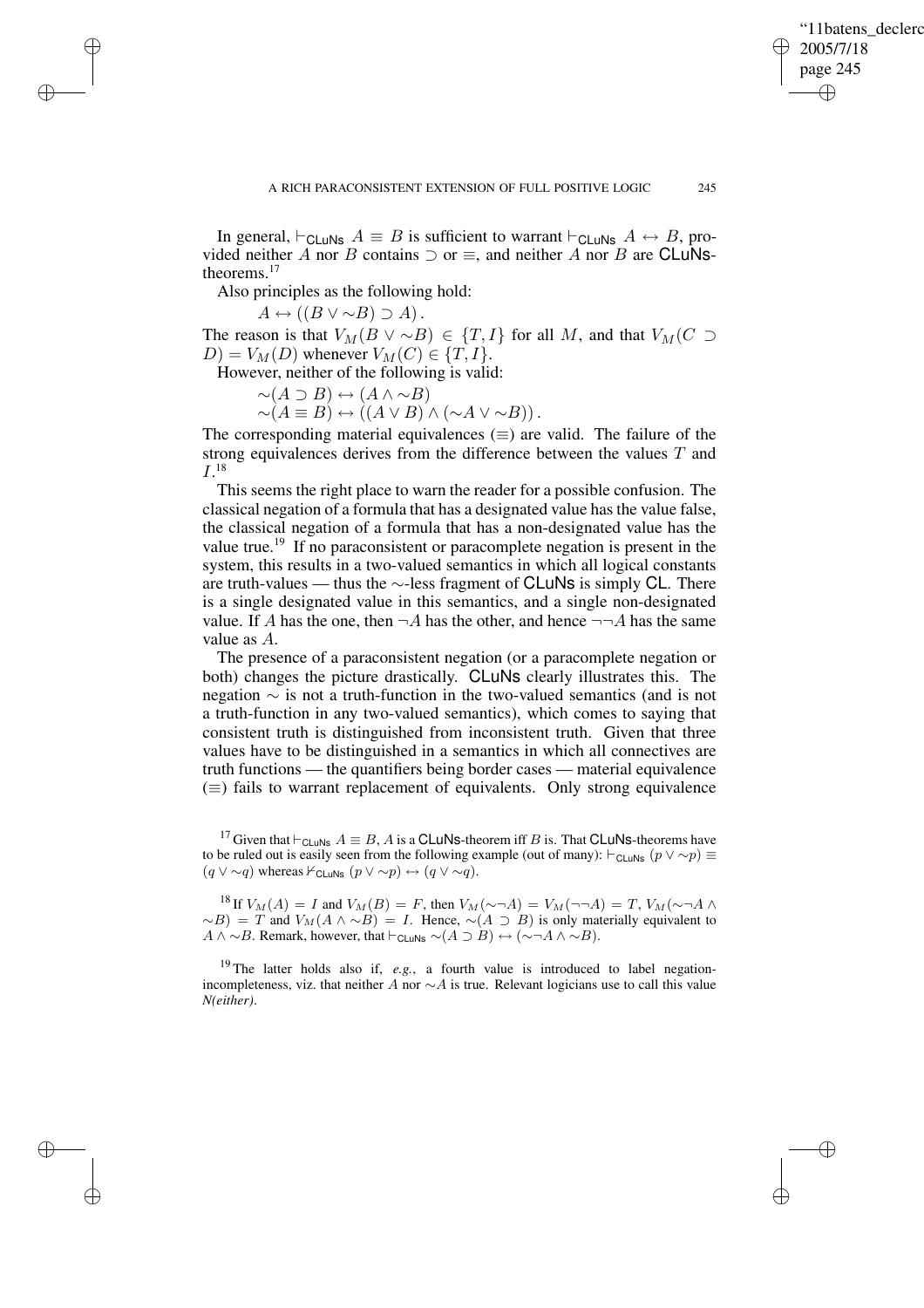✐

In general,  $\vdash_{\text{CLuNs}} A \equiv B$  is sufficient to warrant  $\vdash_{\text{CLuNs}} A \leftrightarrow B$ , provided neither A nor B contains  $\supset$  or  $\equiv$ , and neither A nor B are CLuNstheorems.<sup>17</sup>

Also principles as the following hold:

 $A \leftrightarrow ((B \vee \sim B) \supset A).$ 

✐

✐

✐

✐

The reason is that  $V_M(B \vee \sim B) \in \{T, I\}$  for all M, and that  $V_M(C \supset$  $D) = V_M(D)$  whenever  $V_M(C) \in \{T, I\}.$ 

However, neither of the following is valid:

$$
\sim(A \supset B) \leftrightarrow (A \land \sim B)
$$

$$
\sim(A \equiv B) \leftrightarrow ((A \lor B) \land (\sim A \lor \sim B)).
$$

The corresponding material equivalences  $(\equiv)$  are valid. The failure of the strong equivalences derives from the difference between the values T and  $I.^{18}$ 

This seems the right place to warn the reader for a possible confusion. The classical negation of a formula that has a designated value has the value false, the classical negation of a formula that has a non-designated value has the value true.<sup>19</sup> If no paraconsistent or paracomplete negation is present in the system, this results in a two-valued semantics in which all logical constants are truth-values — thus the ∼-less fragment of CLuNs is simply CL. There is a single designated value in this semantics, and a single non-designated value. If A has the one, then  $\neg A$  has the other, and hence  $\neg \neg A$  has the same value as A.

The presence of a paraconsistent negation (or a paracomplete negation or both) changes the picture drastically. CLuNs clearly illustrates this. The negation ∼ is not a truth-function in the two-valued semantics (and is not a truth-function in any two-valued semantics), which comes to saying that consistent truth is distinguished from inconsistent truth. Given that three values have to be distinguished in a semantics in which all connectives are truth functions — the quantifiers being border cases — material equivalence  $(\equiv)$  fails to warrant replacement of equivalents. Only strong equivalence

<sup>17</sup> Given that  $\vdash_{\text{CLuNs}} A \equiv B$ , A is a CLuNs-theorem iff B is. That CLuNs-theorems have to be ruled out is easily seen from the following example (out of many):  $\vdash_{\text{CLuNs}} (p \lor \sim p) \equiv$  $(q \vee \sim q)$  whereas  $\nvdash_{\mathsf{CLuNs}} (p \vee \sim p) \leftrightarrow (q \vee \sim q).$ 

<sup>18</sup> If  $V_M(A) = I$  and  $V_M(B) = F$ , then  $V_M(\sim \neg A) = V_M(\sim \neg A) = T$ ,  $V_M(\sim \neg A \land$  $~\sim$ B) = T and  $V_M(A \wedge \sim B) = I$ . Hence,  $\sim(A \supset B)$  is only materially equivalent to  $A \wedge \sim B$ . Remark, however, that  $\vdash_{\mathsf{CLuNs}} \sim(A \supset B) \leftrightarrow (\sim \neg A \wedge \sim B)$ .

<sup>19</sup> The latter holds also if, *e.g.*, a fourth value is introduced to label negationincompleteness, viz. that neither A nor  $\sim$ A is true. Relevant logicians use to call this value *N(either)*.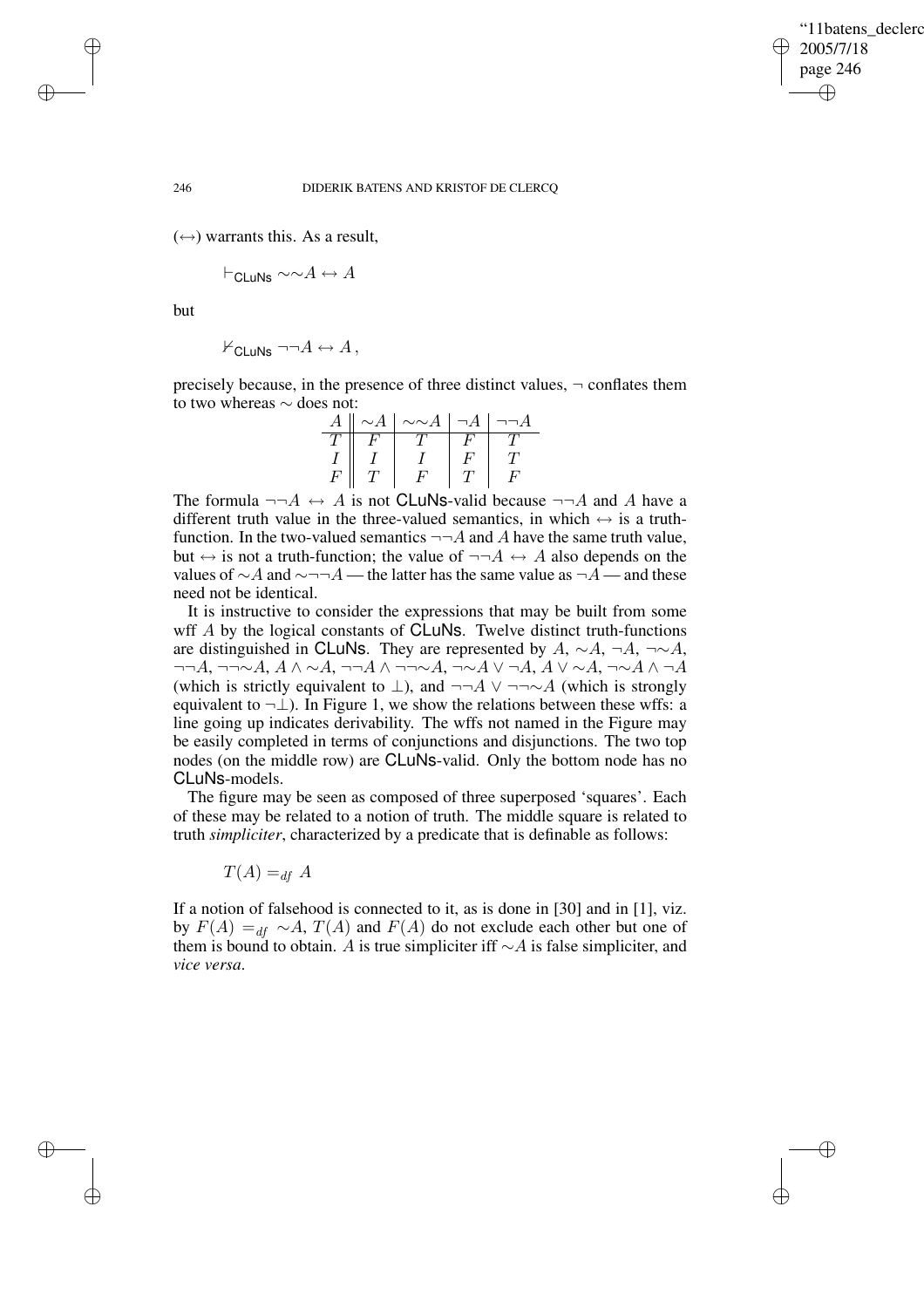✐

## 246 DIDERIK BATENS AND KRISTOF DE CLERCQ

 $(\leftrightarrow)$  warrants this. As a result,

$$
\vdash_{\mathsf{CLuNs}} \sim \sim A \leftrightarrow A
$$

but

✐

✐

✐

✐

 $\forall$ CLUNS  $\neg\neg A \leftrightarrow A$ ,

precisely because, in the presence of three distinct values,  $\neg$  conflates them to two whereas ∼ does not:

| А | $\sim$ A | $\mathord{\sim} \mathord{\sim} A$ | ıн |  |
|---|----------|-----------------------------------|----|--|
|   |          |                                   |    |  |
|   |          |                                   |    |  |
| F |          |                                   |    |  |

The formula  $\neg\neg A \leftrightarrow A$  is not CLuNs-valid because  $\neg\neg A$  and A have a different truth value in the three-valued semantics, in which  $\leftrightarrow$  is a truthfunction. In the two-valued semantics  $\neg\neg A$  and A have the same truth value, but  $\leftrightarrow$  is not a truth-function; the value of  $\neg\neg A \leftrightarrow A$  also depends on the values of  $\sim$  A and  $\sim$ ¬¬A — the latter has the same value as ¬A — and these need not be identical.

It is instructive to consider the expressions that may be built from some wff A by the logical constants of **CLuNs**. Twelve distinct truth-functions are distinguished in CLuNs. They are represented by A,  $\sim A$ ,  $\neg A$ ,  $\neg \sim A$ ,  $\neg\neg A$ ,  $\neg\neg\neg\neg A$ ,  $A \land \neg A$ ,  $\neg\neg A \land \neg\neg\neg\neg A$ ,  $\neg\neg\neg A$ ,  $A \lor \neg A$ ,  $A \lor \neg A$ (which is strictly equivalent to  $\bot$ ), and  $\neg\neg A \lor \neg\neg \sim A$  (which is strongly equivalent to  $\neg \perp$ ). In Figure 1, we show the relations between these wffs: a line going up indicates derivability. The wffs not named in the Figure may be easily completed in terms of conjunctions and disjunctions. The two top nodes (on the middle row) are CLuNs-valid. Only the bottom node has no CLuNs-models.

The figure may be seen as composed of three superposed 'squares'. Each of these may be related to a notion of truth. The middle square is related to truth *simpliciter*, characterized by a predicate that is definable as follows:

 $T(A) =_{df} A$ 

If a notion of falsehood is connected to it, as is done in [30] and in [1], viz. by  $F(A) =_{df} \sim A$ ,  $T(A)$  and  $F(A)$  do not exclude each other but one of them is bound to obtain. A is true simpliciter iff  $\sim$  A is false simpliciter, and *vice versa*.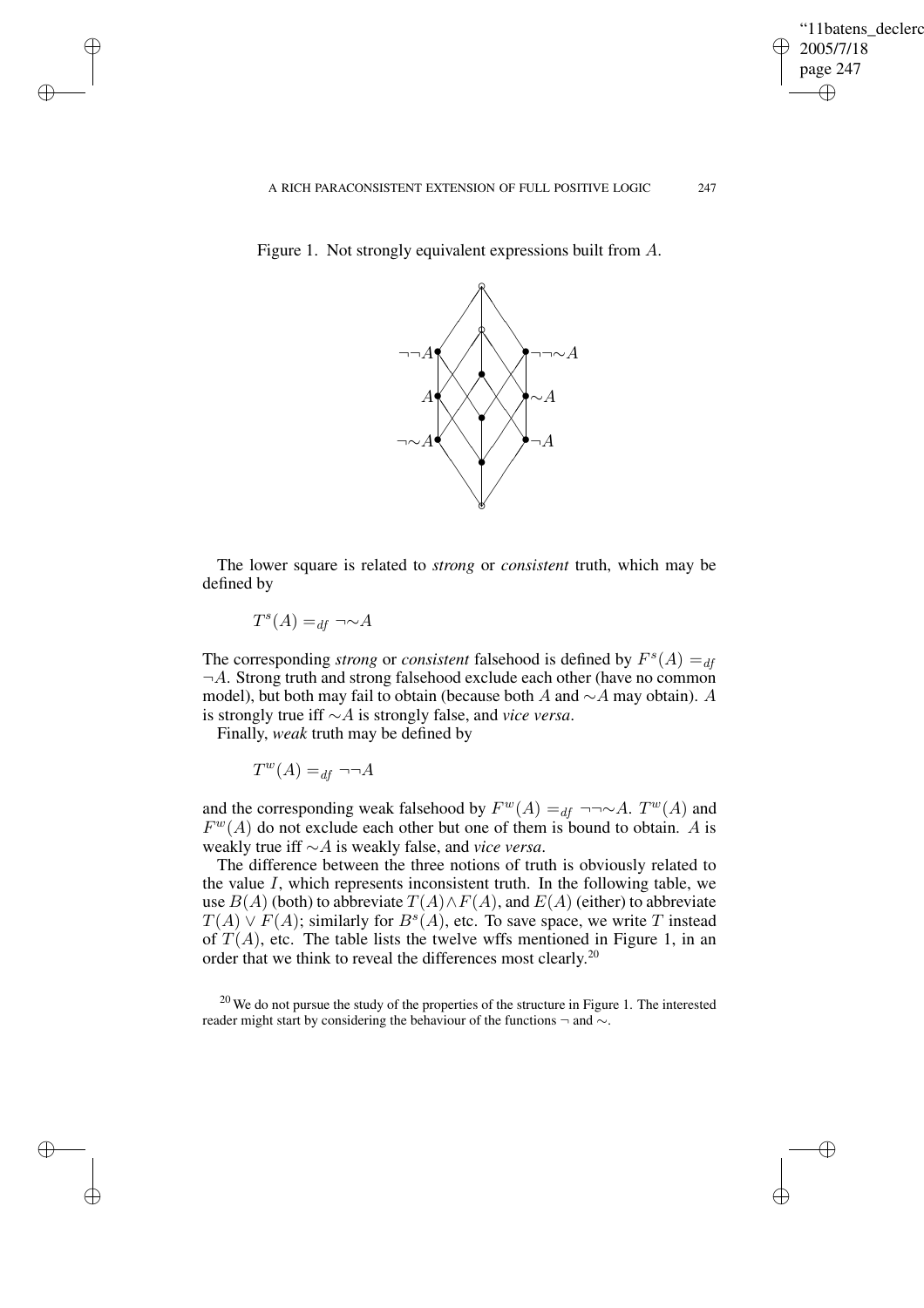✐

Figure 1. Not strongly equivalent expressions built from A.



The lower square is related to *strong* or *consistent* truth, which may be defined by

 $T^s(A) =_{df} \neg \sim A$ 

✐

✐

✐

✐

The corresponding *strong* or *consistent* falsehood is defined by  $F^s(A) =_{df}$  $\neg A$ . Strong truth and strong falsehood exclude each other (have no common model), but both may fail to obtain (because both A and  $\sim$ A may obtain). A is strongly true iff ∼A is strongly false, and *vice versa*.

Finally, *weak* truth may be defined by

$$
T^w(A) =_{df} \neg\neg A
$$

and the corresponding weak falsehood by  $F^w(A) =_{df} \neg \neg \sim A$ .  $T^w(A)$  and  $F^{w}(A)$  do not exclude each other but one of them is bound to obtain. A is weakly true iff ∼A is weakly false, and *vice versa*.

The difference between the three notions of truth is obviously related to the value  $I$ , which represents inconsistent truth. In the following table, we use  $B(A)$  (both) to abbreviate  $T(A) \wedge F(A)$ , and  $E(A)$  (either) to abbreviate  $T(A) \vee F(A)$ ; similarly for  $B^s(A)$ , etc. To save space, we write T instead of  $T(A)$ , etc. The table lists the twelve wffs mentioned in Figure 1, in an order that we think to reveal the differences most clearly.<sup>20</sup>

 $20$  We do not pursue the study of the properties of the structure in Figure 1. The interested reader might start by considering the behaviour of the functions ¬ and ∼.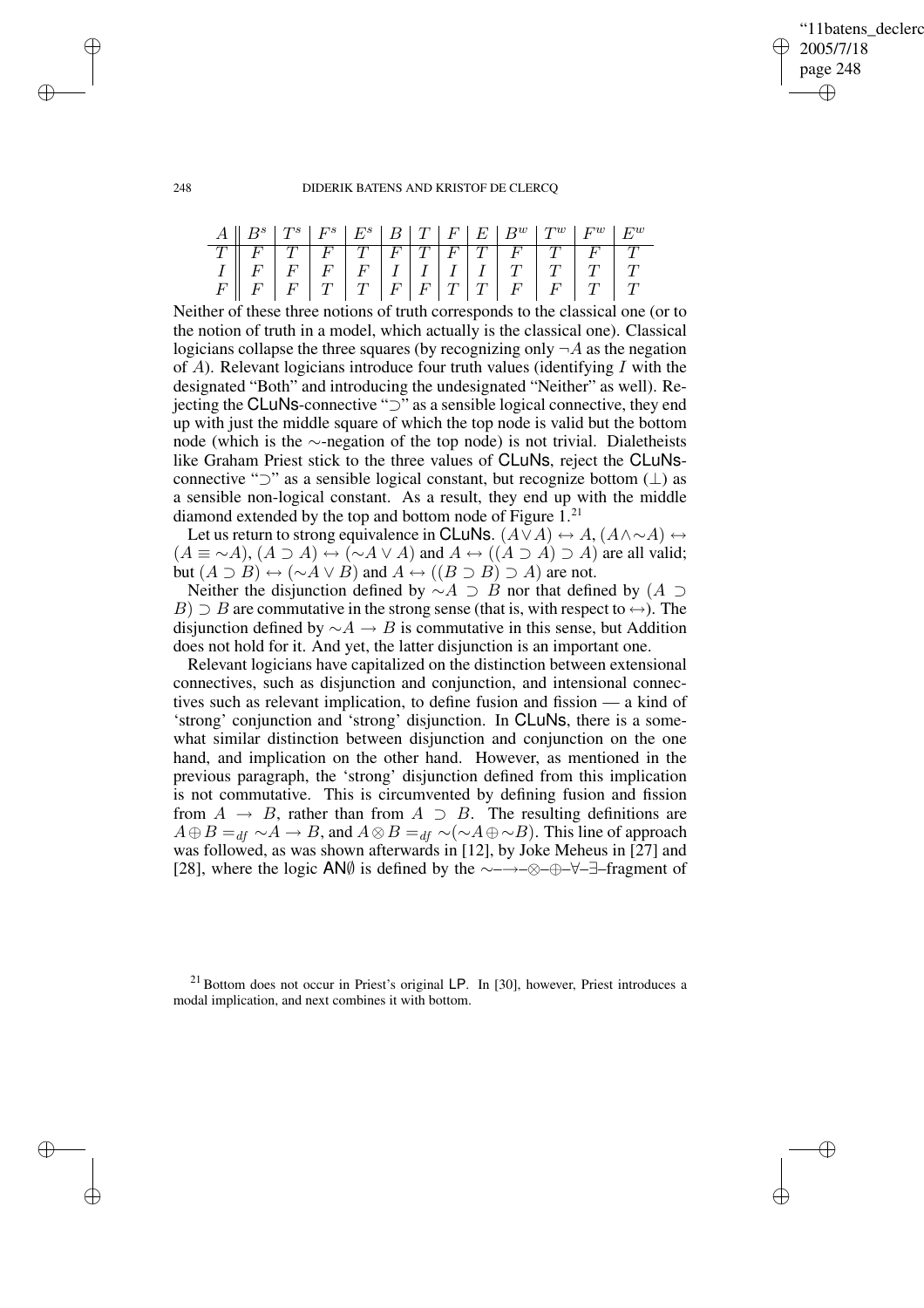# '11batens\_declerc 2005/7/18 page 248 ✐ ✐

✐

✐

## 248 DIDERIK BATENS AND KRISTOF DE CLERCQ

|  |  |  |  |  | $A \parallel B^s \parallel T^s \parallel F^s \parallel E^s \parallel B \parallel T \parallel F \parallel E \parallel B^w \parallel T^w \parallel F^w \parallel E^w$ |  |
|--|--|--|--|--|---------------------------------------------------------------------------------------------------------------------------------------------------------------------|--|
|  |  |  |  |  |                                                                                                                                                                     |  |
|  |  |  |  |  |                                                                                                                                                                     |  |
|  |  |  |  |  |                                                                                                                                                                     |  |

Neither of these three notions of truth corresponds to the classical one (or to the notion of truth in a model, which actually is the classical one). Classical logicians collapse the three squares (by recognizing only  $\neg A$  as the negation of  $\overline{A}$ ). Relevant logicians introduce four truth values (identifying  $\overline{I}$  with the designated "Both" and introducing the undesignated "Neither" as well). Rejecting the CLuNs-connective "⊃" as a sensible logical connective, they end up with just the middle square of which the top node is valid but the bottom node (which is the ∼-negation of the top node) is not trivial. Dialetheists like Graham Priest stick to the three values of CLuNs, reject the CLuNsconnective " $\supset$ " as a sensible logical constant, but recognize bottom ( $\perp$ ) as a sensible non-logical constant. As a result, they end up with the middle diamond extended by the top and bottom node of Figure  $1.^{21}$ .

Let us return to strong equivalence in CLuNs.  $(A \lor A) \leftrightarrow A, (A \land \sim A) \leftrightarrow$  $(A \equiv \sim A), (A \supset A) \leftrightarrow (\sim A \vee A)$  and  $A \leftrightarrow ((A \supset A) \supset A)$  are all valid; but  $(A \supset B) \leftrightarrow (\sim A \vee B)$  and  $A \leftrightarrow ((B \supset B) \supset A)$  are not.

Neither the disjunction defined by  $\sim A \supset B$  nor that defined by  $(A \supset B)$  $B) \supset B$  are commutative in the strong sense (that is, with respect to  $\leftrightarrow$ ). The disjunction defined by  $\sim A \rightarrow B$  is commutative in this sense, but Addition does not hold for it. And yet, the latter disjunction is an important one.

Relevant logicians have capitalized on the distinction between extensional connectives, such as disjunction and conjunction, and intensional connectives such as relevant implication, to define fusion and fission — a kind of 'strong' conjunction and 'strong' disjunction. In CLuNs, there is a somewhat similar distinction between disjunction and conjunction on the one hand, and implication on the other hand. However, as mentioned in the previous paragraph, the 'strong' disjunction defined from this implication is not commutative. This is circumvented by defining fusion and fission from  $A \rightarrow B$ , rather than from  $A \supset B$ . The resulting definitions are  $A \oplus B =_{df} \sim A \rightarrow B$ , and  $A \otimes B =_{df} \sim (\sim A \oplus \sim B)$ . This line of approach was followed, as was shown afterwards in [12], by Joke Meheus in [27] and [28], where the logic AN∅ is defined by the ∼–→–⊗–⊕–∀–∃–fragment of

✐

✐

✐

 $21$  Bottom does not occur in Priest's original LP. In [30], however, Priest introduces a modal implication, and next combines it with bottom.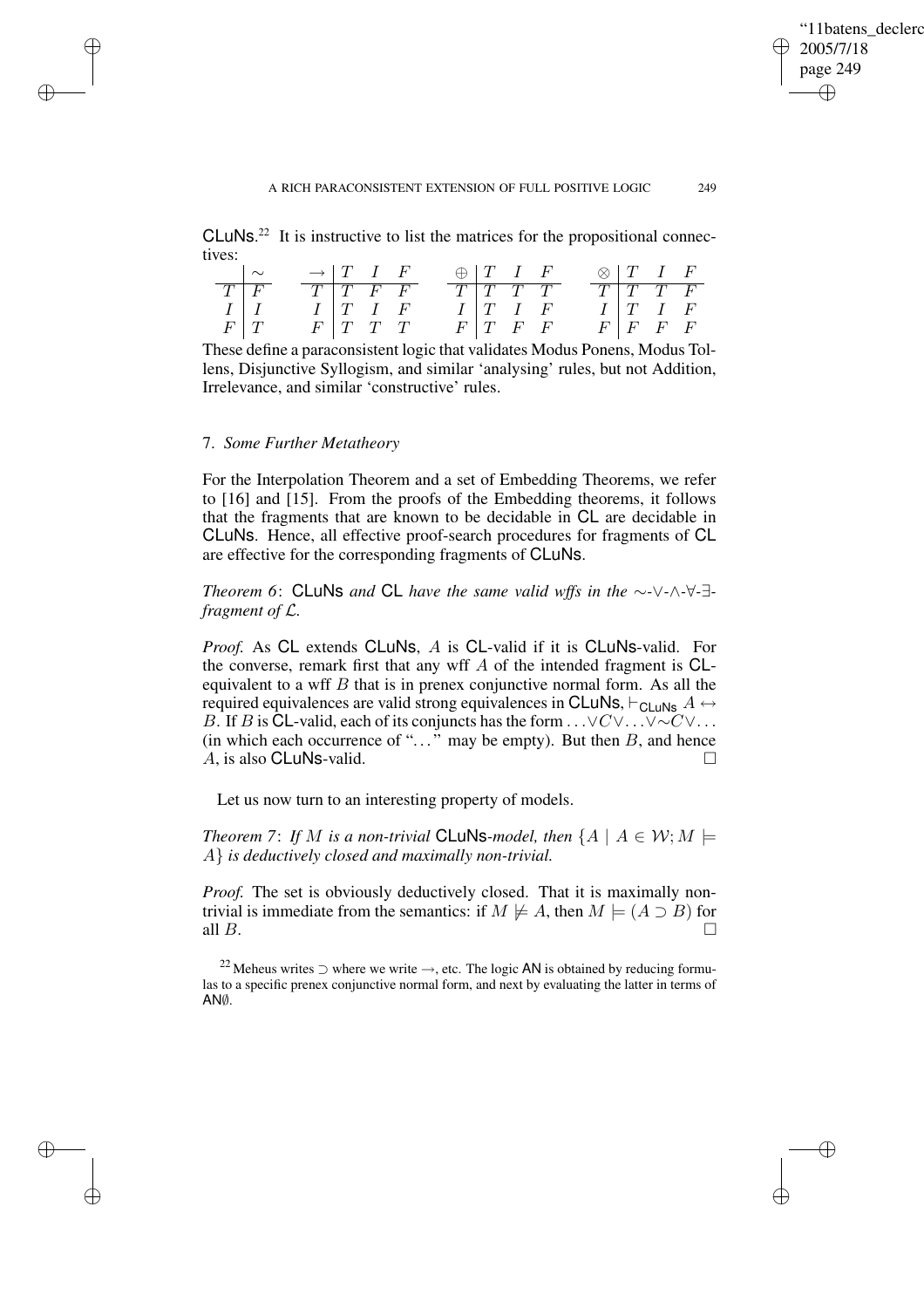✐

### A RICH PARACONSISTENT EXTENSION OF FULL POSITIVE LOGIC 249

 $CLuNs<sup>22</sup>$  It is instructive to list the matrices for the propositional connectives:

|  | $\rightarrow$ $T$ $I$ $F$ |                          |  | $\oplus$ $T$ $I$ $F$ |                          |  | $\otimes$ T I F |                          |  |
|--|---------------------------|--------------------------|--|----------------------|--------------------------|--|-----------------|--------------------------|--|
|  |                           |                          |  |                      |                          |  |                 |                          |  |
|  |                           | $I$ $T$ $I$ $F$          |  |                      | $I \, \, T \,I \,F$      |  |                 | $I \mid T \mid I \mid F$ |  |
|  |                           | $F \mid T \mid T \mid T$ |  |                      | $F \mid T \mid F \mid F$ |  |                 | $F \mid F \mid F \mid F$ |  |

These define a paraconsistent logic that validates Modus Ponens, Modus Tollens, Disjunctive Syllogism, and similar 'analysing' rules, but not Addition, Irrelevance, and similar 'constructive' rules.

# 7. *Some Further Metatheory*

✐

✐

✐

✐

For the Interpolation Theorem and a set of Embedding Theorems, we refer to [16] and [15]. From the proofs of the Embedding theorems, it follows that the fragments that are known to be decidable in CL are decidable in CLuNs. Hence, all effective proof-search procedures for fragments of CL are effective for the corresponding fragments of CLuNs.

*Theorem 6*: CLuNs *and* CL *have the same valid wffs in the* ∼*-*∨*-*∧*-*∀*-*∃ *fragment of* L*.*

*Proof.* As CL extends CLuNs, A is CL-valid if it is CLuNs-valid. For the converse, remark first that any wff  $A$  of the intended fragment is  $CL$ equivalent to a wff  $B$  that is in prenex conjunctive normal form. As all the required equivalences are valid strong equivalences in CLuNs,  $\vdash$  CLuNs  $A \leftrightarrow$ B. If B is CL-valid, each of its conjuncts has the form . . .∨C∨. . .∨∼C∨... (in which each occurrence of " $\ldots$ " may be empty). But then B, and hence A, is also CLuNs-valid.

Let us now turn to an interesting property of models.

*Theorem* 7: *If M is a non-trivial* **CLuNs**-model, then  $\{A \mid A \in \mathcal{W}: M \models \emptyset\}$ A} *is deductively closed and maximally non-trivial.*

*Proof.* The set is obviously deductively closed. That it is maximally nontrivial is immediate from the semantics: if  $M \not\models A$ , then  $M \models (A \supset B)$  for all  $B$ .

<sup>22</sup> Meheus writes  $\supset$  where we write  $\rightarrow$ , etc. The logic AN is obtained by reducing formulas to a specific prenex conjunctive normal form, and next by evaluating the latter in terms of AN∅.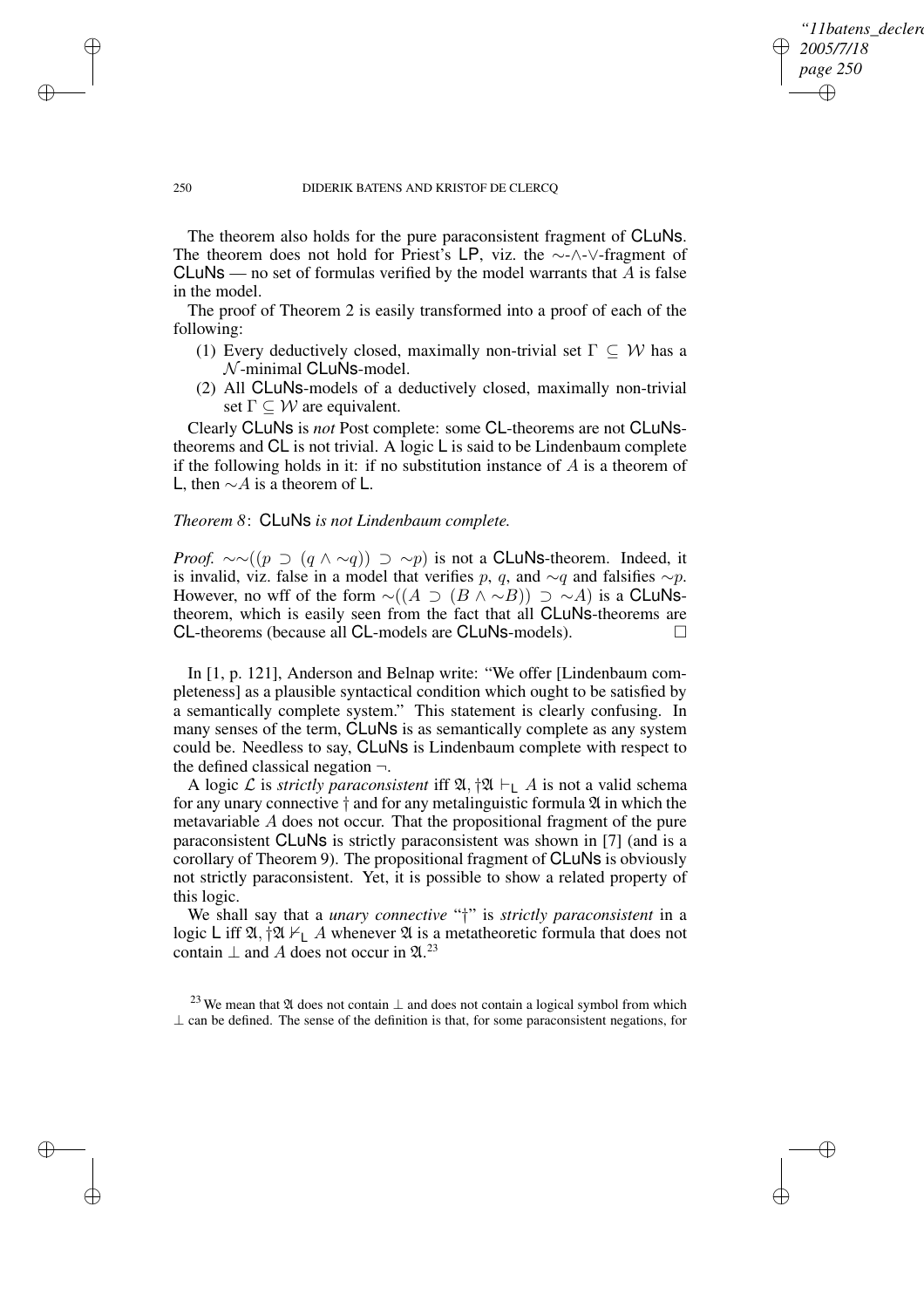✐

## 250 DIDERIK BATENS AND KRISTOF DE CLERCQ

The theorem also holds for the pure paraconsistent fragment of CLuNs. The theorem does not hold for Priest's LP, viz. the ∼-∧-∨-fragment of CLuNs — no set of formulas verified by the model warrants that  $A$  is false in the model.

The proof of Theorem 2 is easily transformed into a proof of each of the following:

- (1) Every deductively closed, maximally non-trivial set  $\Gamma \subseteq W$  has a  $\mathcal N$ -minimal CLuNs-model.
- (2) All CLuNs-models of a deductively closed, maximally non-trivial set  $\Gamma \subseteq W$  are equivalent.

Clearly CLuNs is *not* Post complete: some CL-theorems are not CLuNstheorems and CL is not trivial. A logic L is said to be Lindenbaum complete if the following holds in it: if no substitution instance of  $A$  is a theorem of L, then  $∼A$  is a theorem of L.

# *Theorem 8*: CLuNs *is not Lindenbaum complete.*

*Proof.*  $\sim \sim ((p \supset (q \wedge \sim q)) \supset \sim p)$  is not a **CLuNs**-theorem. Indeed, it is invalid, viz. false in a model that verifies p, q, and  $\sim q$  and falsifies  $\sim p$ . However, no wff of the form  $\sim$ ( $(A \supset (B \wedge \sim B)) \supset \sim A$ ) is a CLuNstheorem, which is easily seen from the fact that all CLuNs-theorems are CL-theorems (because all CL-models are CLuNs-models).

In [1, p. 121], Anderson and Belnap write: "We offer [Lindenbaum completeness] as a plausible syntactical condition which ought to be satisfied by a semantically complete system." This statement is clearly confusing. In many senses of the term, CLuNs is as semantically complete as any system could be. Needless to say, CLuNs is Lindenbaum complete with respect to the defined classical negation  $\neg$ .

A logic L is *strictly paraconsistent* iff  $\mathfrak{A}, \dagger \mathfrak{A} \vdash_{\mathsf{L}} A$  is not a valid schema for any unary connective  $\dagger$  and for any metalinguistic formula  $\mathfrak A$  in which the metavariable A does not occur. That the propositional fragment of the pure paraconsistent CLuNs is strictly paraconsistent was shown in [7] (and is a corollary of Theorem 9). The propositional fragment of CLuNs is obviously not strictly paraconsistent. Yet, it is possible to show a related property of this logic.

We shall say that a *unary connective* "†" is *strictly paraconsistent* in a logic L iff  $\mathfrak{A}, \dagger \mathfrak{A} \nvdash_{\mathsf{L}} A$  whenever  $\mathfrak{A}$  is a metatheoretic formula that does not contain  $\perp$  and A does not occur in  $\mathfrak{A}$ .<sup>23</sup>

<sup>23</sup> We mean that  $\mathfrak A$  does not contain  $\perp$  and does not contain a logical symbol from which  $\perp$  can be defined. The sense of the definition is that, for some paraconsistent negations, for

✐

✐

✐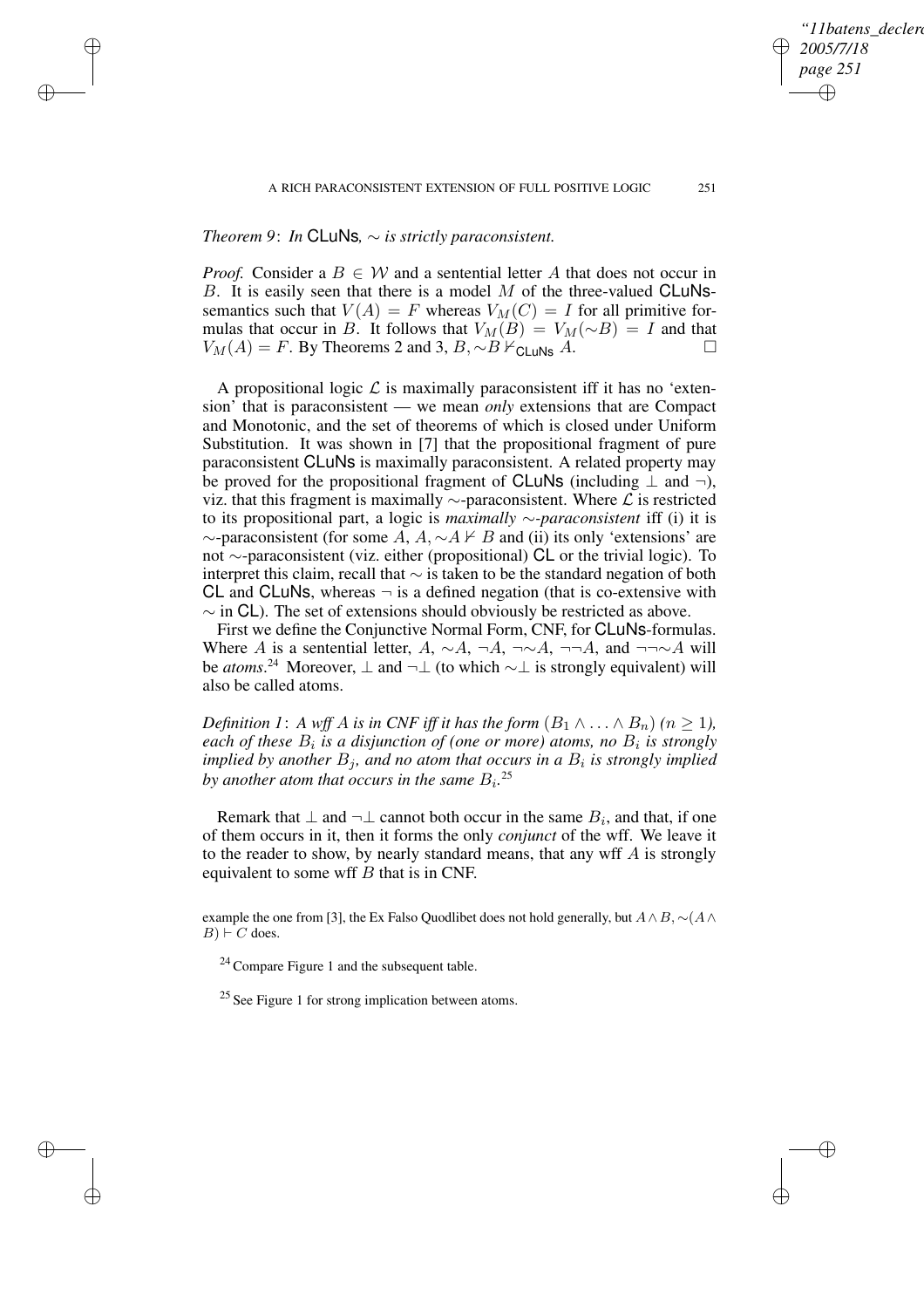✐

# *Theorem 9*: *In* CLuNs*,* ∼ *is strictly paraconsistent.*

✐

✐

✐

✐

*Proof.* Consider a  $B \in W$  and a sentential letter A that does not occur in B. It is easily seen that there is a model  $M$  of the three-valued CLuNssemantics such that  $V(A) = F$  whereas  $V_M(C) = I$  for all primitive formulas that occur in B. It follows that  $V_M(B) = V_M(\sim B) = I$  and that  $V_M(A) = F$ . By Theorems 2 and 3, B,  $\sim B \nvDash_{\text{CLuNs}} A$ .  $\Box$ 

A propositional logic  $\mathcal L$  is maximally paraconsistent iff it has no 'extension' that is paraconsistent — we mean *only* extensions that are Compact and Monotonic, and the set of theorems of which is closed under Uniform Substitution. It was shown in [7] that the propositional fragment of pure paraconsistent CLuNs is maximally paraconsistent. A related property may be proved for the propositional fragment of CLuNs (including  $\perp$  and  $\neg$ ), viz. that this fragment is maximally  $\sim$ -paraconsistent. Where  $\mathcal L$  is restricted to its propositional part, a logic is *maximally* ∼*-paraconsistent* iff (i) it is  $\sim$ -paraconsistent (for some A, A,  $\sim$ A  $\nvdash$  B and (ii) its only 'extensions' are not ∼-paraconsistent (viz. either (propositional) CL or the trivial logic). To interpret this claim, recall that ∼ is taken to be the standard negation of both CL and CLuNs, whereas  $\neg$  is a defined negation (that is co-extensive with  $\sim$  in CL). The set of extensions should obviously be restricted as above.

First we define the Conjunctive Normal Form, CNF, for CLuNs-formulas. Where A is a sentential letter, A,  $\sim A$ ,  $\neg A$ ,  $\neg\neg A$ , and  $\neg\neg\neg A$  will be *atoms*.<sup>24</sup> Moreover, ⊥ and ¬⊥ (to which ~⊥ is strongly equivalent) will also be called atoms.

*Definition* 1: *A wff A is in CNF iff it has the form*  $(B_1 \land \ldots \land B_n)$   $(n \geq 1)$ , *each of these*  $B_i$  *is a disjunction of (one or more) atoms, no*  $B_i$  *is strongly implied by another*  $B_j$ *, and no atom that occurs in a*  $B_i$  *is strongly implied* by another atom that occurs in the same  $B_i$ .<sup>25</sup>

Remark that  $\perp$  and  $\neg \perp$  cannot both occur in the same  $B_i$ , and that, if one of them occurs in it, then it forms the only *conjunct* of the wff. We leave it to the reader to show, by nearly standard means, that any wff  $A$  is strongly equivalent to some wff  $B$  that is in CNF.

example the one from [3], the Ex Falso Quodlibet does not hold generally, but  $A \wedge B$ , ∼( $A \wedge B$  $B$ )  $\vdash$  C does.

<sup>24</sup> Compare Figure 1 and the subsequent table.

<sup>25</sup> See Figure 1 for strong implication between atoms.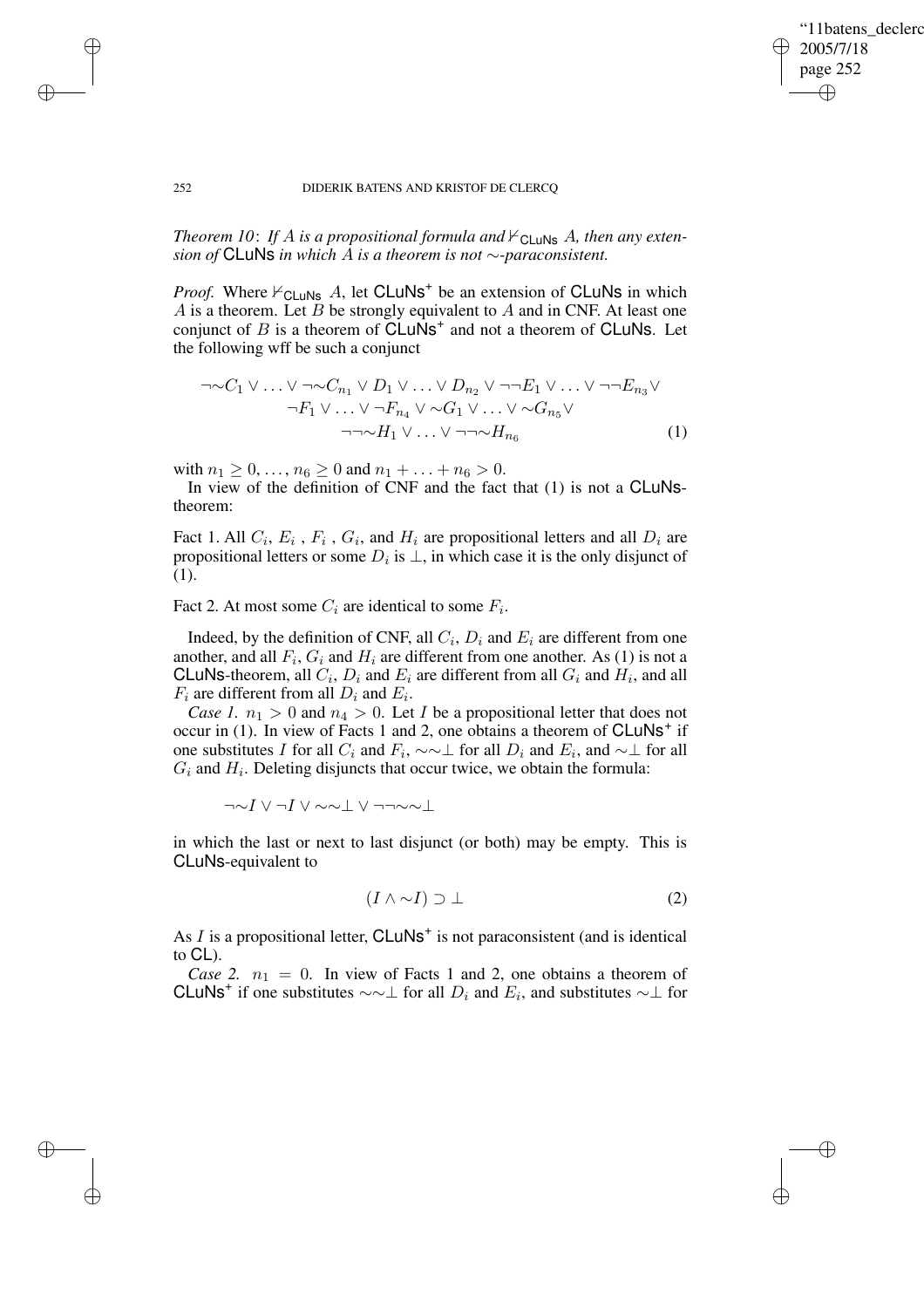✐

## 252 DIDERIK BATENS AND KRISTOF DE CLERCQ

*Theorem 10: If A is a propositional formula and*  $\nvdash$ <sub>CLUNs</sub> A, *then any extension of* CLuNs *in which* A *is a theorem is not* ∼*-paraconsistent.*

*Proof.* Where  $V_{\text{CLuNs}}$  A, let CLuNs<sup>+</sup> be an extension of CLuNs in which  $A$  is a theorem. Let  $B$  be strongly equivalent to  $A$  and in CNF. At least one conjunct of B is a theorem of  $CLu\dot{N}s^+$  and not a theorem of CLuNs. Let the following wff be such a conjunct

$$
\neg \sim C_1 \vee \ldots \vee \neg \sim C_{n_1} \vee D_1 \vee \ldots \vee D_{n_2} \vee \neg \neg E_1 \vee \ldots \vee \neg \neg E_{n_3} \vee \n\neg F_1 \vee \ldots \vee \neg F_{n_4} \vee \sim G_1 \vee \ldots \vee \sim G_{n_5} \vee \n\neg \sim H_1 \vee \ldots \vee \neg \sim H_{n_6}
$$
\n(1)

with  $n_1 \ge 0, \ldots, n_6 \ge 0$  and  $n_1 + \ldots + n_6 > 0$ .

In view of the definition of CNF and the fact that (1) is not a CLuNstheorem:

Fact 1. All  $C_i$ ,  $E_i$ ,  $F_i$ ,  $G_i$ , and  $H_i$  are propositional letters and all  $D_i$  are propositional letters or some  $D_i$  is  $\perp$ , in which case it is the only disjunct of (1).

Fact 2. At most some  $C_i$  are identical to some  $F_i$ .

Indeed, by the definition of CNF, all  $C_i$ ,  $D_i$  and  $E_i$  are different from one another, and all  $F_i$ ,  $G_i$  and  $H_i$  are different from one another. As (1) is not a CLuNs-theorem, all  $C_i$ ,  $D_i$  and  $E_i$  are different from all  $G_i$  and  $H_i$ , and all  $F_i$  are different from all  $D_i$  and  $E_i$ .

*Case 1.*  $n_1 > 0$  and  $n_4 > 0$ . Let *I* be a propositional letter that does not occur in  $(1)$ . In view of Facts 1 and 2, one obtains a theorem of CLuNs<sup>+</sup> if one substitutes I for all  $C_i$  and  $F_i$ ,  $\sim \sim \perp$  for all  $D_i$  and  $E_i$ , and  $\sim \perp$  for all  $G_i$  and  $H_i$ . Deleting disjuncts that occur twice, we obtain the formula:

¬∼I ∨ ¬I ∨ ∼∼⊥ ∨ ¬¬∼∼⊥

in which the last or next to last disjunct (or both) may be empty. This is CLuNs-equivalent to

$$
(I \wedge \sim I) \supset \bot \tag{2}
$$

As  $I$  is a propositional letter,  $CLuNs^{+}$  is not paraconsistent (and is identical to CL).

*Case* 2.  $n_1 = 0$ . In view of Facts 1 and 2, one obtains a theorem of CLuNs<sup>+</sup> if one substitutes  $\sim \sim \perp$  for all  $D_i$  and  $E_i$ , and substitutes  $\sim \perp$  for

✐

✐

✐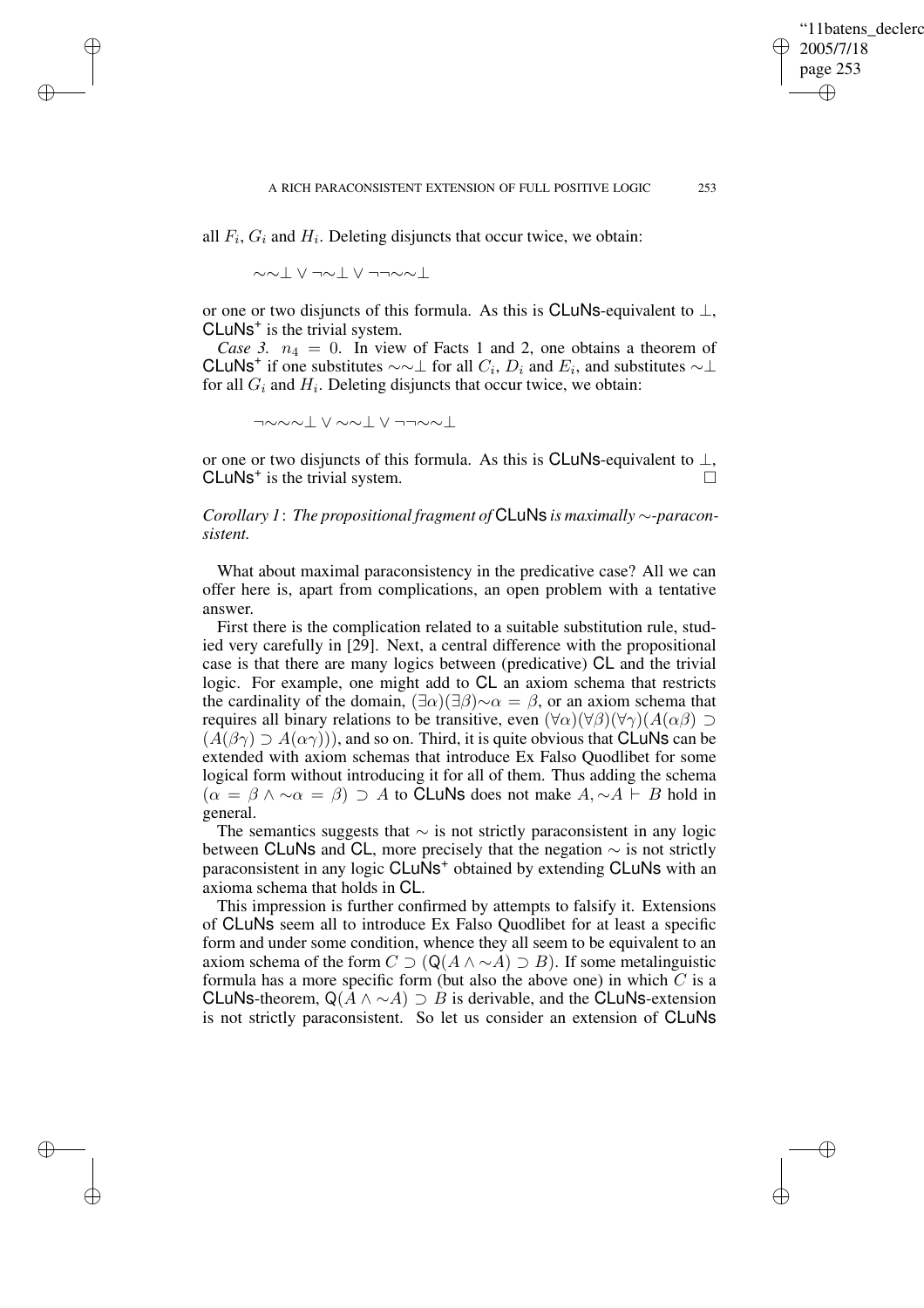✐

all  $F_i$ ,  $G_i$  and  $H_i$ . Deleting disjuncts that occur twice, we obtain:

∼∼⊥ ∨ ¬∼⊥ ∨ ¬¬∼∼⊥

✐

✐

✐

✐

or one or two disjuncts of this formula. As this is CLuNs-equivalent to  $\perp$ , CLuNs<sup>+</sup> is the trivial system.

*Case* 3.  $n_4 = 0$ . In view of Facts 1 and 2, one obtains a theorem of CLuNs<sup>+</sup> if one substitutes  $\sim \sim \perp$  for all  $C_i$ ,  $D_i$  and  $E_i$ , and substitutes  $\sim \perp$ for all  $G_i$  and  $H_i$ . Deleting disjuncts that occur twice, we obtain:

¬∼∼∼⊥ ∨ ∼∼⊥ ∨ ¬¬∼∼⊥

or one or two disjuncts of this formula. As this is CLuNs-equivalent to  $\perp$ , CLuNs<sup>+</sup> is the trivial system.

*Corollary 1*: *The propositional fragment of* CLuNs *is maximally* ∼*-paraconsistent.*

What about maximal paraconsistency in the predicative case? All we can offer here is, apart from complications, an open problem with a tentative answer.

First there is the complication related to a suitable substitution rule, studied very carefully in [29]. Next, a central difference with the propositional case is that there are many logics between (predicative) CL and the trivial logic. For example, one might add to CL an axiom schema that restricts the cardinality of the domain,  $(\exists \alpha)(\exists \beta) \sim \alpha = \beta$ , or an axiom schema that requires all binary relations to be transitive, even  $(\forall \alpha)(\forall \beta)(\forall \gamma)(A(\alpha \beta) \supset$  $(A(\beta \gamma) \supseteq A(\alpha \gamma))$ , and so on. Third, it is quite obvious that **CLuNs** can be extended with axiom schemas that introduce Ex Falso Quodlibet for some logical form without introducing it for all of them. Thus adding the schema  $(\alpha = \beta \wedge \neg \alpha = \beta) \supseteq A$  to CLuNs does not make  $A, \neg A \vdash B$  hold in general.

The semantics suggests that  $\sim$  is not strictly paraconsistent in any logic between CLuNs and CL, more precisely that the negation  $\sim$  is not strictly paraconsistent in any logic CLuNs<sup>+</sup> obtained by extending CLuNs with an axioma schema that holds in CL.

This impression is further confirmed by attempts to falsify it. Extensions of CLuNs seem all to introduce Ex Falso Quodlibet for at least a specific form and under some condition, whence they all seem to be equivalent to an axiom schema of the form  $C \supset (Q(A \wedge \sim A) \supset B)$ . If some metalinguistic formula has a more specific form (but also the above one) in which  $C$  is a CLuNs-theorem,  $Q(A \land \sim A)$  ⊃ B is derivable, and the CLuNs-extension is not strictly paraconsistent. So let us consider an extension of CLuNs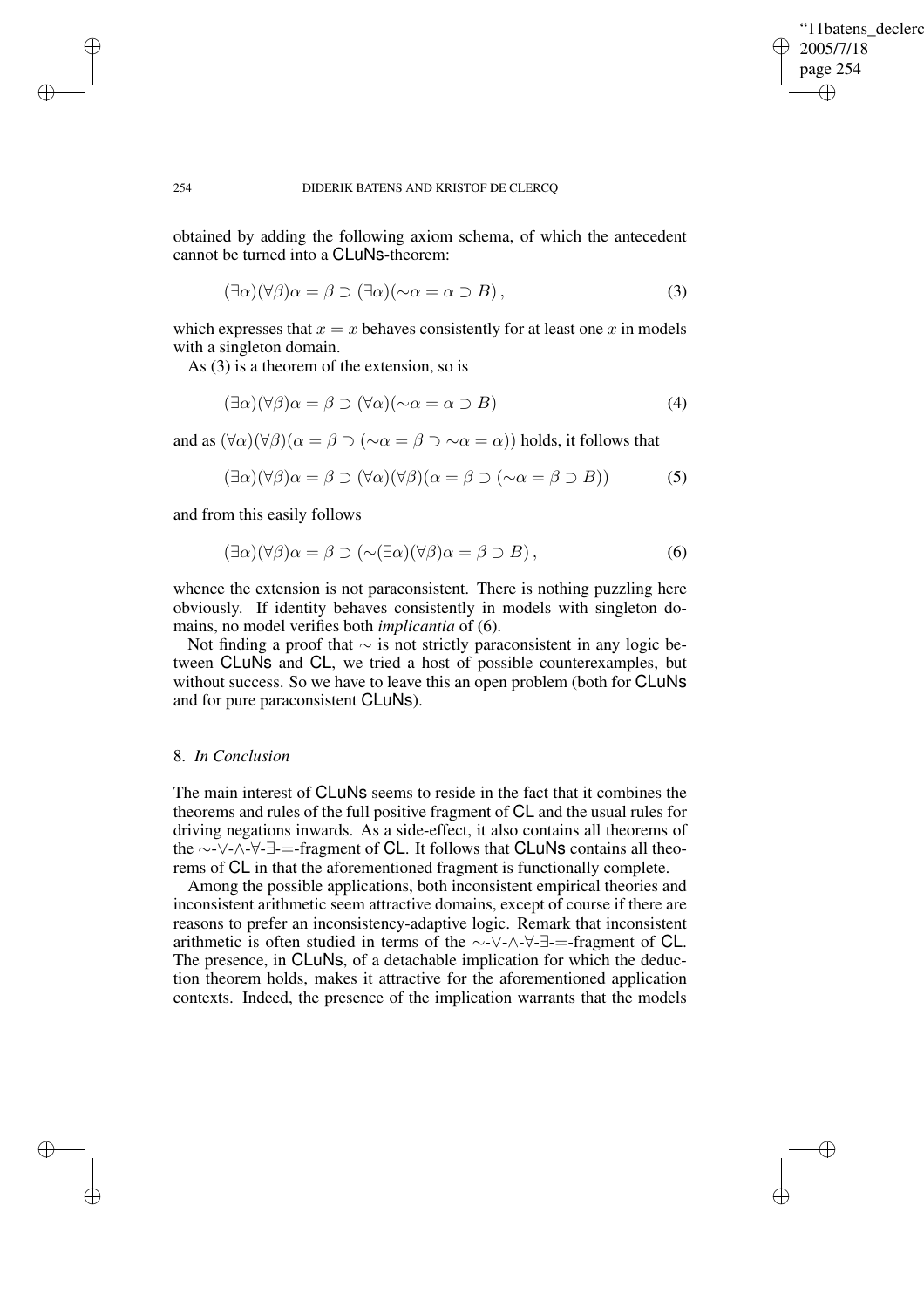✐

## 254 DIDERIK BATENS AND KRISTOF DE CLERCQ

obtained by adding the following axiom schema, of which the antecedent cannot be turned into a CLuNs-theorem:

$$
(\exists \alpha)(\forall \beta)\alpha = \beta \supset (\exists \alpha)(\sim \alpha = \alpha \supset B), \tag{3}
$$

which expresses that  $x = x$  behaves consistently for at least one x in models with a singleton domain.

As (3) is a theorem of the extension, so is

$$
(\exists \alpha)(\forall \beta)\alpha = \beta \supset (\forall \alpha)(\sim \alpha = \alpha \supset B) \tag{4}
$$

and as  $(\forall \alpha)(\forall \beta)(\alpha = \beta \supset (\sim \alpha = \beta \supset \sim \alpha = \alpha))$  holds, it follows that

$$
(\exists \alpha)(\forall \beta)\alpha = \beta \supset (\forall \alpha)(\forall \beta)(\alpha = \beta \supset (\sim \alpha = \beta \supset B))
$$
 (5)

and from this easily follows

✐

✐

✐

✐

$$
(\exists \alpha)(\forall \beta)\alpha = \beta \supset (\sim(\exists \alpha)(\forall \beta)\alpha = \beta \supset B), \tag{6}
$$

whence the extension is not paraconsistent. There is nothing puzzling here obviously. If identity behaves consistently in models with singleton domains, no model verifies both *implicantia* of (6).

Not finding a proof that  $\sim$  is not strictly paraconsistent in any logic between CLuNs and CL, we tried a host of possible counterexamples, but without success. So we have to leave this an open problem (both for CLuNs and for pure paraconsistent CLuNs).

# 8. *In Conclusion*

The main interest of CLuNs seems to reside in the fact that it combines the theorems and rules of the full positive fragment of CL and the usual rules for driving negations inwards. As a side-effect, it also contains all theorems of the ∼-∨-∧-∀-∃-=-fragment of CL. It follows that CLuNs contains all theorems of CL in that the aforementioned fragment is functionally complete.

Among the possible applications, both inconsistent empirical theories and inconsistent arithmetic seem attractive domains, except of course if there are reasons to prefer an inconsistency-adaptive logic. Remark that inconsistent arithmetic is often studied in terms of the ∼-∨-∧-∀-∃-=-fragment of CL. The presence, in CLuNs, of a detachable implication for which the deduction theorem holds, makes it attractive for the aforementioned application contexts. Indeed, the presence of the implication warrants that the models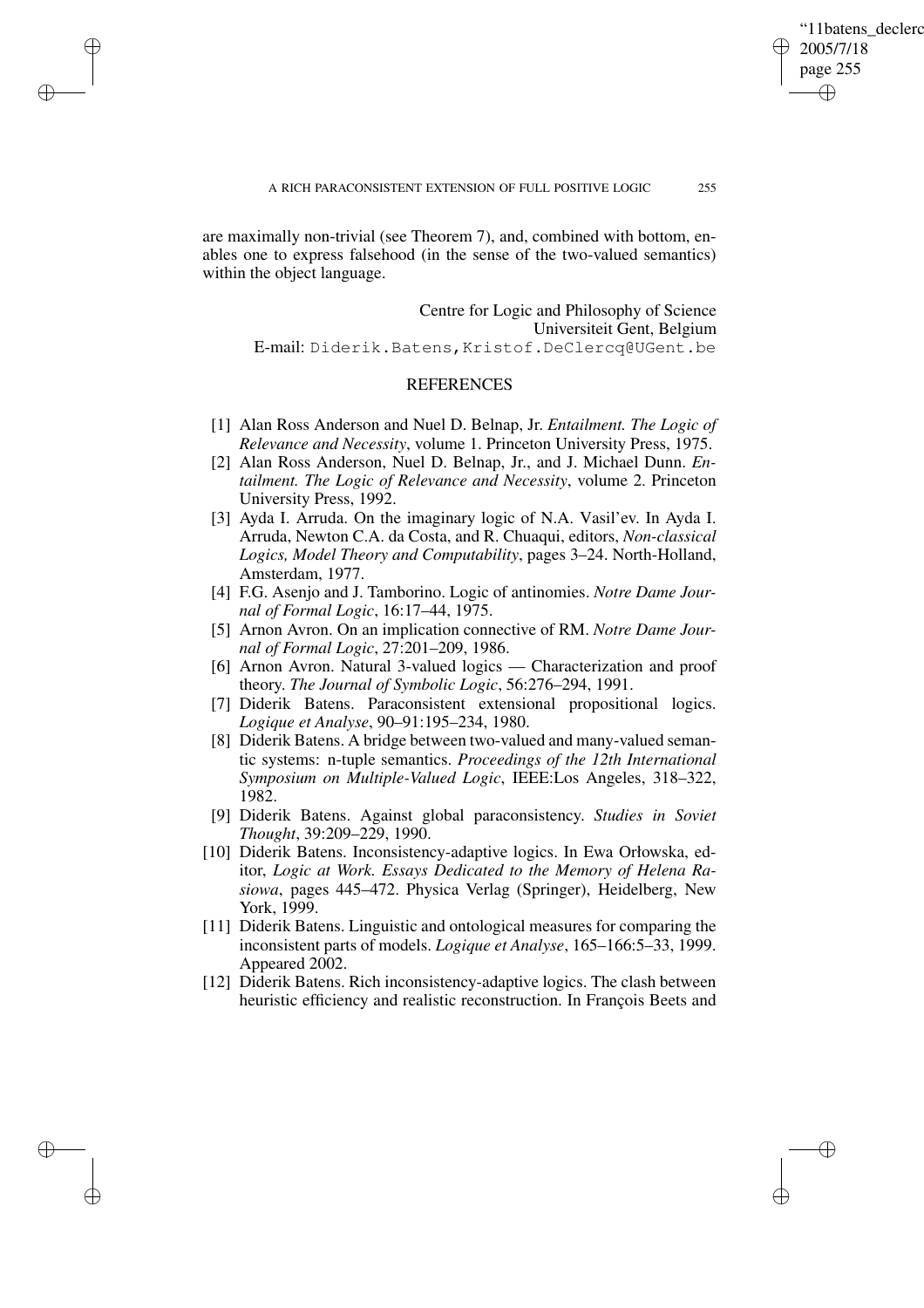✐

are maximally non-trivial (see Theorem 7), and, combined with bottom, enables one to express falsehood (in the sense of the two-valued semantics) within the object language.

✐

✐

✐

✐

Centre for Logic and Philosophy of Science Universiteit Gent, Belgium E-mail: Diderik.Batens,Kristof.DeClercq@UGent.be

# **REFERENCES**

- [1] Alan Ross Anderson and Nuel D. Belnap, Jr. *Entailment. The Logic of Relevance and Necessity*, volume 1. Princeton University Press, 1975.
- [2] Alan Ross Anderson, Nuel D. Belnap, Jr., and J. Michael Dunn. *Entailment. The Logic of Relevance and Necessity*, volume 2. Princeton University Press, 1992.
- [3] Ayda I. Arruda. On the imaginary logic of N.A. Vasil'ev. In Ayda I. Arruda, Newton C.A. da Costa, and R. Chuaqui, editors, *Non-classical Logics, Model Theory and Computability*, pages 3–24. North-Holland, Amsterdam, 1977.
- [4] F.G. Asenjo and J. Tamborino. Logic of antinomies. *Notre Dame Journal of Formal Logic*, 16:17–44, 1975.
- [5] Arnon Avron. On an implication connective of RM. *Notre Dame Journal of Formal Logic*, 27:201–209, 1986.
- [6] Arnon Avron. Natural 3-valued logics Characterization and proof theory. *The Journal of Symbolic Logic*, 56:276–294, 1991.
- [7] Diderik Batens. Paraconsistent extensional propositional logics. *Logique et Analyse*, 90–91:195–234, 1980.
- [8] Diderik Batens. A bridge between two-valued and many-valued semantic systems: n-tuple semantics. *Proceedings of the 12th International Symposium on Multiple-Valued Logic*, IEEE:Los Angeles, 318–322, 1982.
- [9] Diderik Batens. Against global paraconsistency. *Studies in Soviet Thought*, 39:209–229, 1990.
- [10] Diderik Batens. Inconsistency-adaptive logics. In Ewa Orłowska, editor, *Logic at Work. Essays Dedicated to the Memory of Helena Rasiowa*, pages 445–472. Physica Verlag (Springer), Heidelberg, New York, 1999.
- [11] Diderik Batens. Linguistic and ontological measures for comparing the inconsistent parts of models. *Logique et Analyse*, 165–166:5–33, 1999. Appeared 2002.
- [12] Diderik Batens. Rich inconsistency-adaptive logics. The clash between heuristic efficiency and realistic reconstruction. In François Beets and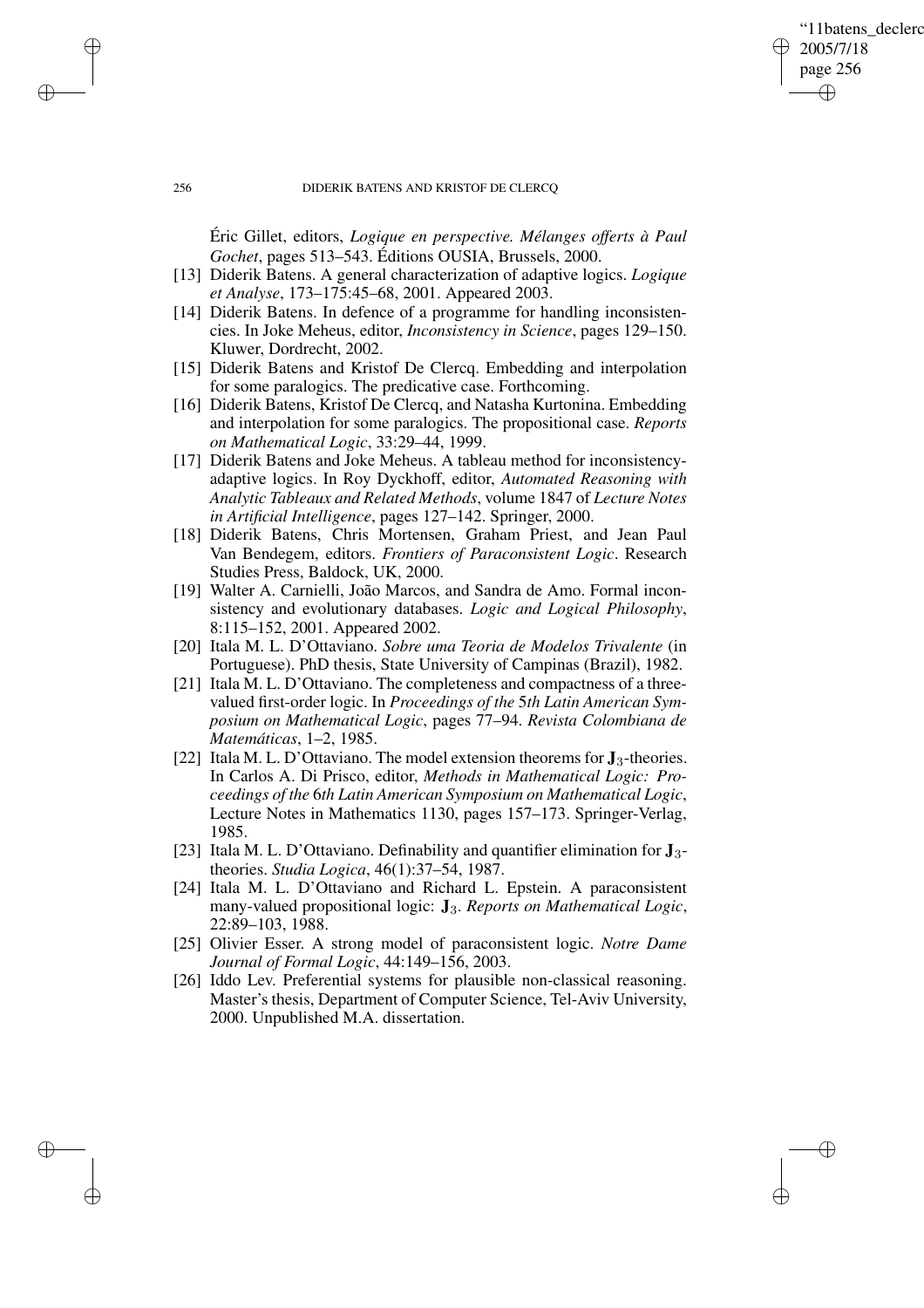# '11batens\_declerc 2005/7/18 page 256 ✐ ✐

✐

✐

## 256 DIDERIK BATENS AND KRISTOF DE CLERCQ

Éric Gillet, editors, *Logique en perspective. Mélanges offerts à Paul Gochet*, pages 513–543. Éditions OUSIA, Brussels, 2000.

- [13] Diderik Batens. A general characterization of adaptive logics. *Logique et Analyse*, 173–175:45–68, 2001. Appeared 2003.
- [14] Diderik Batens. In defence of a programme for handling inconsistencies. In Joke Meheus, editor, *Inconsistency in Science*, pages 129–150. Kluwer, Dordrecht, 2002.
- [15] Diderik Batens and Kristof De Clercq. Embedding and interpolation for some paralogics. The predicative case. Forthcoming.
- [16] Diderik Batens, Kristof De Clercq, and Natasha Kurtonina. Embedding and interpolation for some paralogics. The propositional case. *Reports on Mathematical Logic*, 33:29–44, 1999.
- [17] Diderik Batens and Joke Meheus. A tableau method for inconsistencyadaptive logics. In Roy Dyckhoff, editor, *Automated Reasoning with Analytic Tableaux and Related Methods*, volume 1847 of *Lecture Notes in Artificial Intelligence*, pages 127–142. Springer, 2000.
- [18] Diderik Batens, Chris Mortensen, Graham Priest, and Jean Paul Van Bendegem, editors. *Frontiers of Paraconsistent Logic*. Research Studies Press, Baldock, UK, 2000.
- [19] Walter A. Carnielli, João Marcos, and Sandra de Amo. Formal inconsistency and evolutionary databases. *Logic and Logical Philosophy*, 8:115–152, 2001. Appeared 2002.
- [20] Itala M. L. D'Ottaviano. *Sobre uma Teoria de Modelos Trivalente* (in Portuguese). PhD thesis, State University of Campinas (Brazil), 1982.
- [21] Itala M. L. D'Ottaviano. The completeness and compactness of a threevalued first-order logic. In *Proceedings of the* 5*th Latin American Symposium on Mathematical Logic*, pages 77–94. *Revista Colombiana de Matemáticas*, 1–2, 1985.
- [22] Itala M. L. D'Ottaviano. The model extension theorems for **J**3-theories. In Carlos A. Di Prisco, editor, *Methods in Mathematical Logic: Proceedings of the* 6*th Latin American Symposium on Mathematical Logic*, Lecture Notes in Mathematics 1130, pages 157–173. Springer-Verlag, 1985.
- [23] Itala M. L. D'Ottaviano. Definability and quantifier elimination for **J**3 theories. *Studia Logica*, 46(1):37–54, 1987.
- [24] Itala M. L. D'Ottaviano and Richard L. Epstein. A paraconsistent many-valued propositional logic: **J**3. *Reports on Mathematical Logic*, 22:89–103, 1988.
- [25] Olivier Esser. A strong model of paraconsistent logic. *Notre Dame Journal of Formal Logic*, 44:149–156, 2003.
- [26] Iddo Lev. Preferential systems for plausible non-classical reasoning. Master's thesis, Department of Computer Science, Tel-Aviv University, 2000. Unpublished M.A. dissertation.

✐

✐

✐